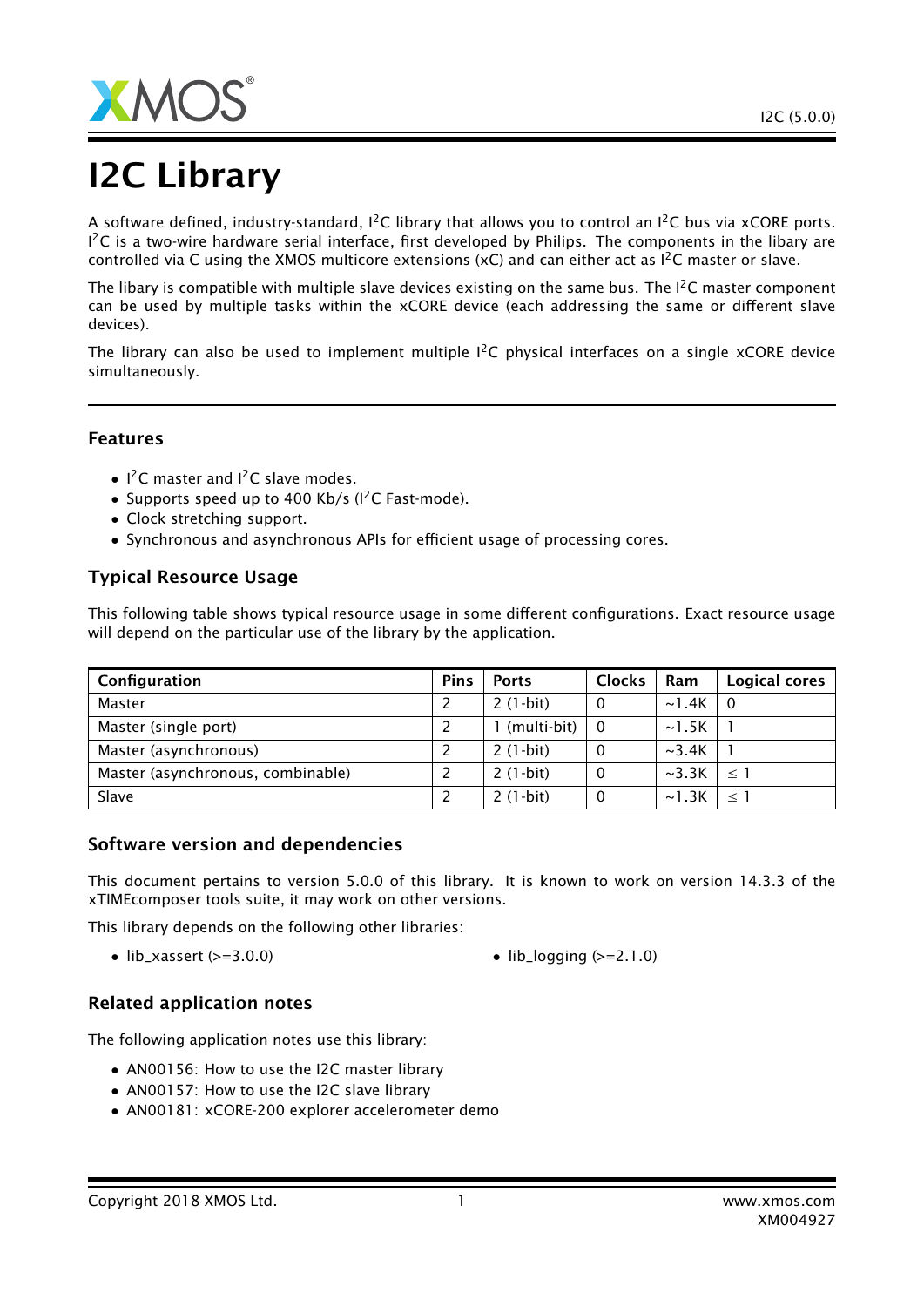

# I2C Library

A software defined, industry-standard,  $I^2C$  library that allows you to control an  $I^2C$  bus via xCORE ports.  $1^2$ C is a two-wire hardware serial interface, first developed by Philips. The components in the libary are controlled via C using the XMOS multicore extensions (xC) and can either act as  $I^2C$  master or slave.

The libary is compatible with multiple slave devices existing on the same bus. The  $1<sup>2</sup>C$  master component can be used by multiple tasks within the xCORE device (each addressing the same or different slave devices).

The library can also be used to implement multiple  $I^2C$  physical interfaces on a single xCORE device simultaneously.

### Features

- $1^2$ C master and  $1^2$ C slave modes.
- Supports speed up to 400 Kb/s (I<sup>2</sup>C Fast-mode).
- Clock stretching support.
- Synchronous and asynchronous APIs for efficient usage of processing cores.

### Typical Resource Usage

This following table shows typical resource usage in some different configurations. Exact resource usage will depend on the particular use of the library by the application.

| Configuration                     | <b>Pins</b> | <b>Ports</b>  | <b>Clocks</b>  | Ram         | Logical cores |
|-----------------------------------|-------------|---------------|----------------|-------------|---------------|
| Master                            |             | $2(1-bit)$    | $\overline{0}$ | $\sim$ 1.4K | l 0           |
| Master (single port)              |             | 1 (multi-bit) | $\overline{0}$ | $\sim$ 1.5K |               |
| Master (asynchronous)             |             | $2(1-bit)$    | $\Omega$       | $\sim$ 3.4K |               |
| Master (asynchronous, combinable) |             | $2(1-bit)$    | -0             | $\sim$ 3.3K | $\leq$ 1      |
| Slave                             |             | $2(1-bit)$    | 0              | $\sim$ 1.3K | $\leq$ 1      |

### Software version and dependencies

This document pertains to version 5.0.0 of this library. It is known to work on version 14.3.3 of the xTIMEcomposer tools suite, it may work on other versions.

This library depends on the following other libraries:

• lib\_xassert  $(>=3.0.0)$  • lib\_logging  $(>=2.1.0)$ 

### Related application notes

The following application notes use this library:

- AN00156: How to use the I2C master library
- AN00157: How to use the I2C slave library
- AN00181: xCORE-200 explorer accelerometer demo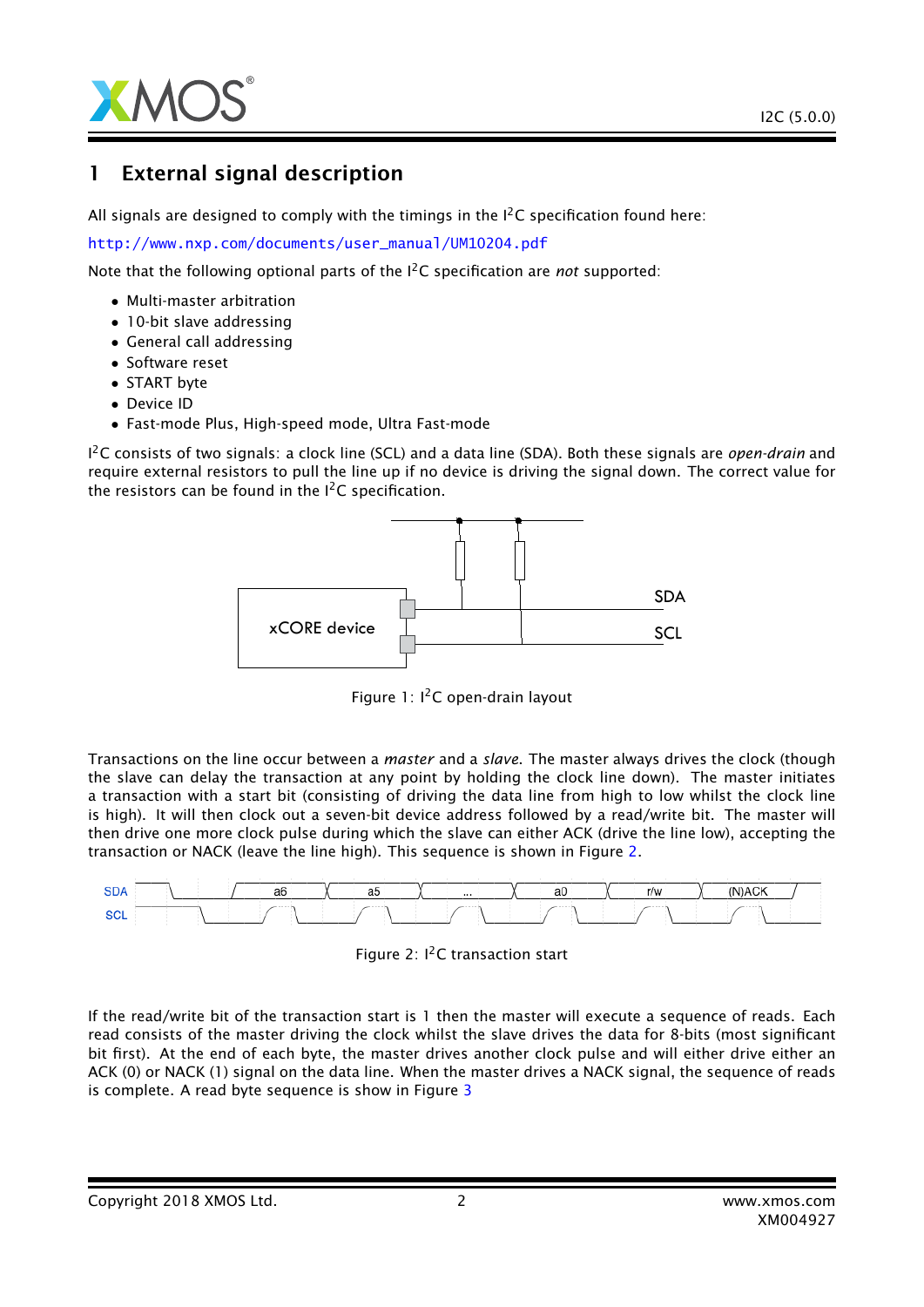

### 1 External signal description

All signals are designed to comply with the timings in the  $I^2C$  specification found here:

[http://www.nxp.com/documents/user\\_manual/UM10204.pdf](http://www.nxp.com/documents/user_manual/UM10204.pdf)

Note that the following optional parts of the I2C specification are *not* supported:

- Multi-master arbitration
- 10-bit slave addressing
- General call addressing
- Software reset
- START byte
- Device ID
- Fast-mode Plus, High-speed mode, Ultra Fast-mode

I <sup>2</sup>C consists of two signals: a clock line (SCL) and a data line (SDA). Both these signals are *open-drain* and require external resistors to pull the line up if no device is driving the signal down. The correct value for the resistors can be found in the  $I^2C$  specification.



Figure 1: I<sup>2</sup>C open-drain layout

Transactions on the line occur between a *master* and a *slave*. The master always drives the clock (though the slave can delay the transaction at any point by holding the clock line down). The master initiates a transaction with a start bit (consisting of driving the data line from high to low whilst the clock line is high). It will then clock out a seven-bit device address followed by a read/write bit. The master will then drive one more clock pulse during which the slave can either ACK (drive the line low), accepting the transaction or NACK (leave the line high). This sequence is shown in Figure [2.](#page-1-0)



<span id="page-1-0"></span>

If the read/write bit of the transaction start is 1 then the master will execute a sequence of reads. Each read consists of the master driving the clock whilst the slave drives the data for 8-bits (most significant bit first). At the end of each byte, the master drives another clock pulse and will either drive either an ACK (0) or NACK (1) signal on the data line. When the master drives a NACK signal, the sequence of reads is complete. A read byte sequence is show in Figure [3](#page-2-0)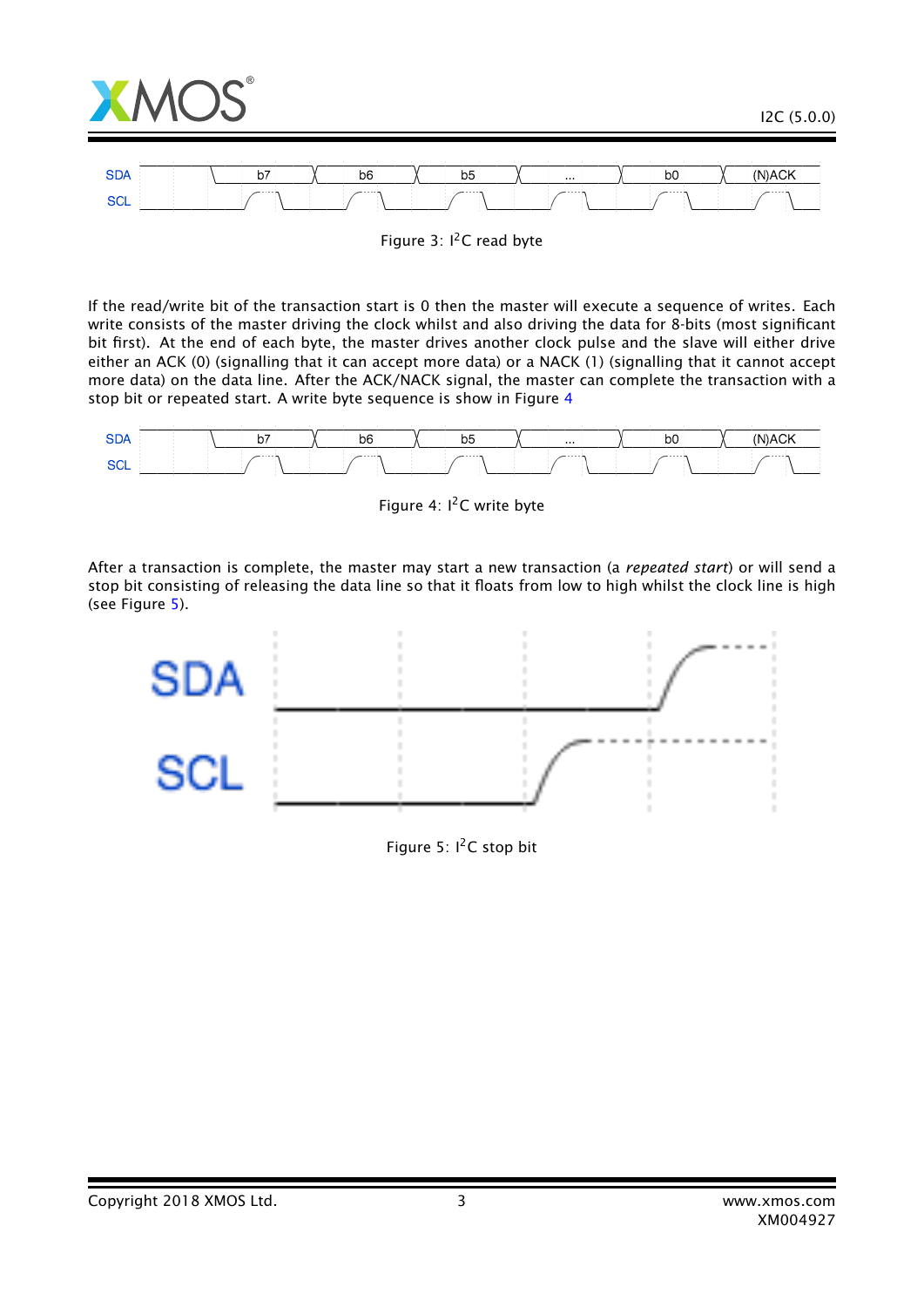

<span id="page-2-0"></span>Figure 3:  $I^2C$  read byte

If the read/write bit of the transaction start is 0 then the master will execute a sequence of writes. Each write consists of the master driving the clock whilst and also driving the data for 8-bits (most significant bit first). At the end of each byte, the master drives another clock pulse and the slave will either drive either an ACK (0) (signalling that it can accept more data) or a NACK (1) (signalling that it cannot accept more data) on the data line. After the ACK/NACK signal, the master can complete the transaction with a stop bit or repeated start. A write byte sequence is show in Figure [4](#page-2-1)



<span id="page-2-1"></span>Figure 4: I<sup>2</sup>C write byte

After a transaction is complete, the master may start a new transaction (a *repeated start*) or will send a stop bit consisting of releasing the data line so that it floats from low to high whilst the clock line is high (see Figure [5\)](#page-2-2).



<span id="page-2-2"></span>Figure 5:  $I^2C$  stop bit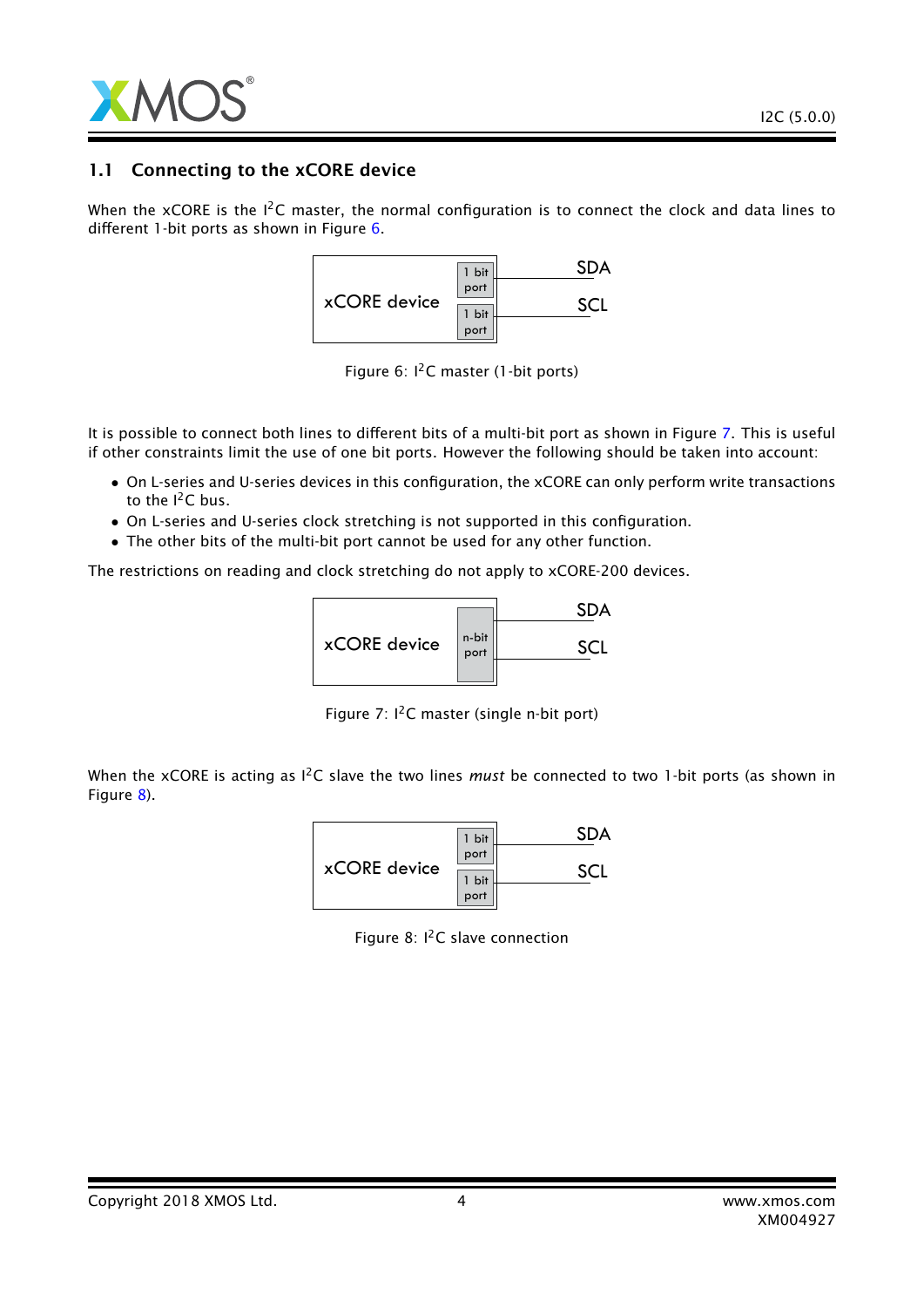

### 1.1 Connecting to the xCORE device

When the xCORE is the  $I^2C$  master, the normal configuration is to connect the clock and data lines to different 1-bit ports as shown in Figure [6.](#page-3-0)



<span id="page-3-0"></span>Figure 6:  $I<sup>2</sup>C$  master (1-bit ports)

It is possible to connect both lines to different bits of a multi-bit port as shown in Figure [7.](#page-3-1) This is useful if other constraints limit the use of one bit ports. However the following should be taken into account:

- On L-series and U-series devices in this configuration, the xCORE can only perform write transactions to the  $I^2C$  bus.
- On L-series and U-series clock stretching is not supported in this configuration.
- The other bits of the multi-bit port cannot be used for any other function.

The restrictions on reading and clock stretching do not apply to xCORE-200 devices.



<span id="page-3-1"></span>Figure 7:  $I^2C$  master (single n-bit port)

When the xCORE is acting as <sup>12</sup>C slave the two lines *must* be connected to two 1-bit ports (as shown in Figure [8\)](#page-3-2).

|              | 1 bit |  |
|--------------|-------|--|
| xCORE device | port  |  |
|              | 1 bit |  |
|              | port  |  |

<span id="page-3-2"></span>Figure 8:  $I^2C$  slave connection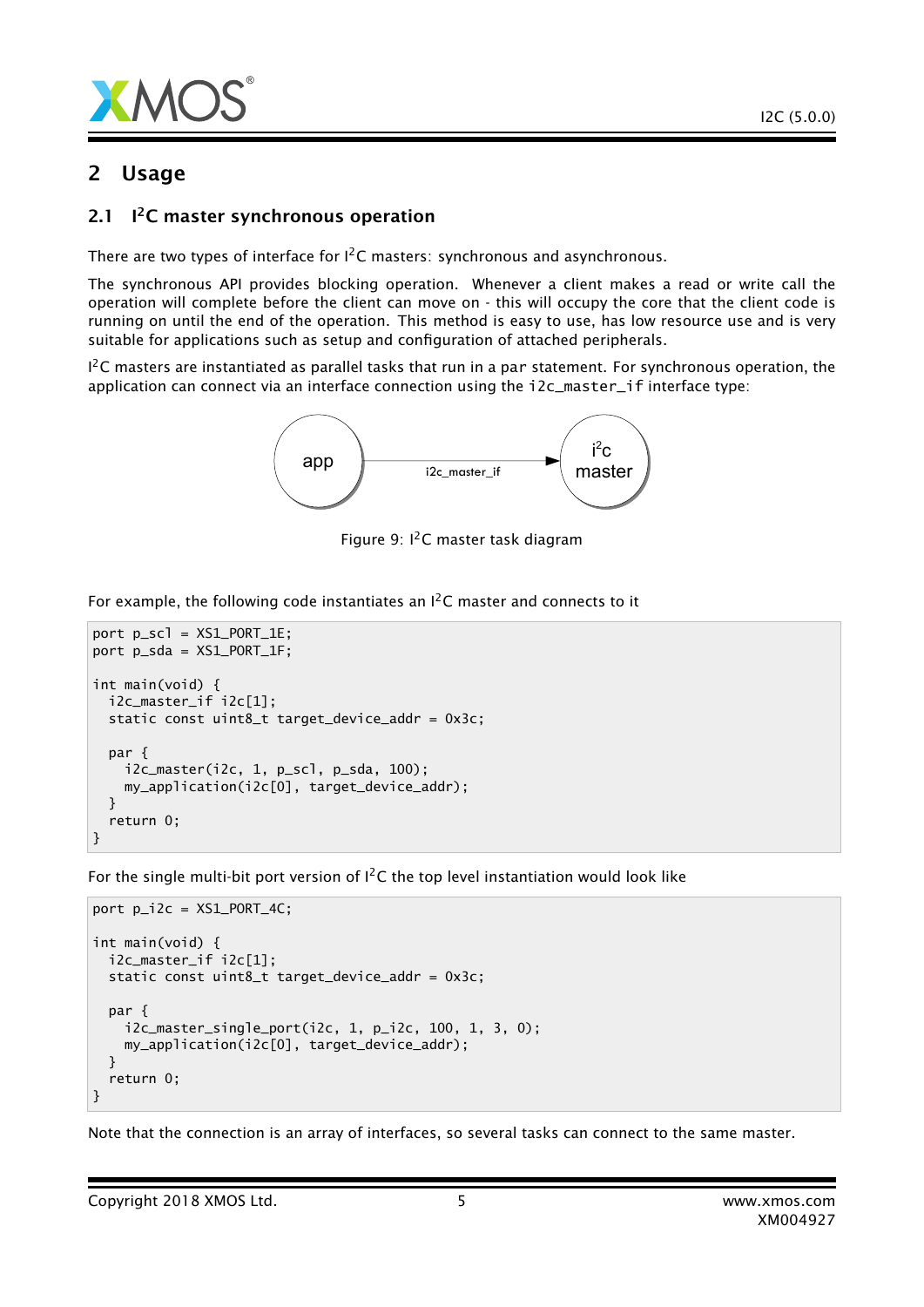

### 2 Usage

#### $2.1$ <sup>12</sup>C master synchronous operation

There are two types of interface for  $I^2C$  masters: synchronous and asynchronous.

The synchronous API provides blocking operation. Whenever a client makes a read or write call the operation will complete before the client can move on - this will occupy the core that the client code is running on until the end of the operation. This method is easy to use, has low resource use and is very suitable for applications such as setup and configuration of attached peripherals.

 $1^2$ C masters are instantiated as parallel tasks that run in a par statement. For synchronous operation, the application can connect via an interface connection using the i2c\_master\_if interface type:



Figure 9:  $I^2C$  master task diagram

For example, the following code instantiates an  $I^2C$  master and connects to it

```
port p_scl = XS1_PORT_1E;
port p_sda = XS1_PORT_1F;
int main(void) {
 i2c_master_if i2c[1];
 static const uint8_t target_device_addr = 0x3c;
 par {
    i2c_master(i2c, 1, p_scl, p_sda, 100);
    my_application(i2c[0], target_device_addr);
 }
 return 0;
}
```
For the single multi-bit port version of  $I^2C$  the top level instantiation would look like

```
port p_i2c = XS1_PORT_4C;int main(void) {
 i2c_master_if i2c[1];
 static const uint8_t target_device_addr = 0x3c;
 par {
   i2c_master_single_port(i2c, 1, p_i2c, 100, 1, 3, 0);
   my_application(i2c[0], target_device_addr);
 }
  return 0;
}
```
Note that the connection is an array of interfaces, so several tasks can connect to the same master.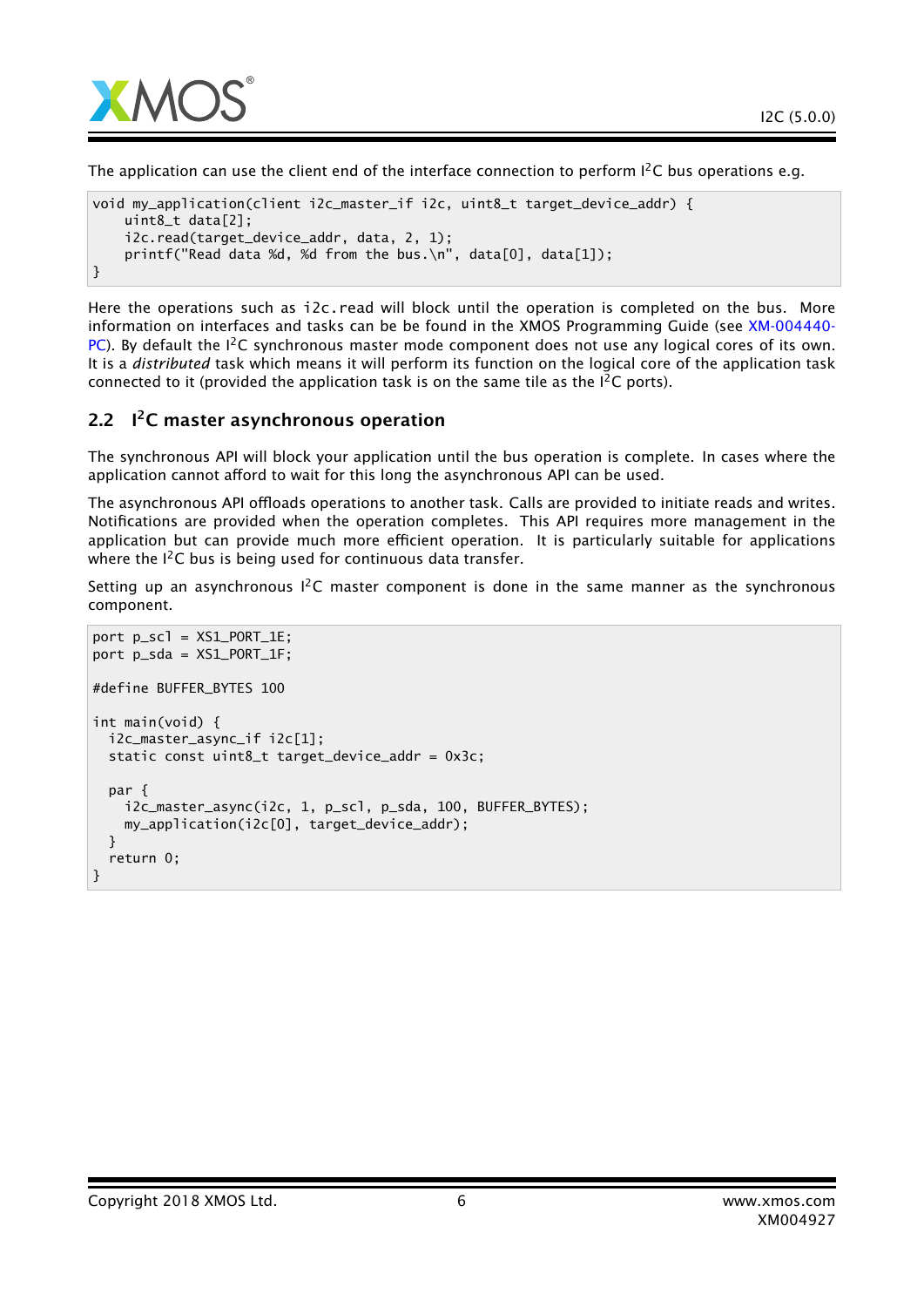

The application can use the client end of the interface connection to perform  $l^2C$  bus operations e.g.

```
void my_application(client i2c_master_if i2c, uint8_t target_device_addr) {
   uint8_t data[2];
   i2c.read(target_device_addr, data, 2, 1);
   printf("Read data %d, %d from the bus.\n", data[0], data[1]);
}
```
Here the operations such as i2c.read will block until the operation is completed on the bus. More information on interfaces and tasks can be be found in the XMOS Programming Guide (see [XM-004440-](http://www.xmos.com/doc/XM-004440-PC/latest#programming-guide) [PC\)](http://www.xmos.com/doc/XM-004440-PC/latest#programming-guide). By default the  $I^2C$  synchronous master mode component does not use any logical cores of its own. It is a *distributed* task which means it will perform its function on the logical core of the application task connected to it (provided the application task is on the same tile as the  $l^2C$  ports).

### 2.2 I<sup>2</sup>C master asynchronous operation

The synchronous API will block your application until the bus operation is complete. In cases where the application cannot afford to wait for this long the asynchronous API can be used.

The asynchronous API offloads operations to another task. Calls are provided to initiate reads and writes. Notifications are provided when the operation completes. This API requires more management in the application but can provide much more efficient operation. It is particularly suitable for applications where the  $I^2C$  bus is being used for continuous data transfer.

Setting up an asynchronous  $1^2C$  master component is done in the same manner as the synchronous component.

```
port p_scl = XS1_PORT_1E;
port p_sda = XS1_PORT_1F;
#define BUFFER_BYTES 100
int main(void) {
 i2c_master_async_if i2c[1];
 static const uint8_t target_device_addr = 0x3c;
 par {
    i2c_master_async(i2c, 1, p_scl, p_sda, 100, BUFFER_BYTES);
    my_application(i2c[0], target_device_addr);
 }
 return 0;
}
```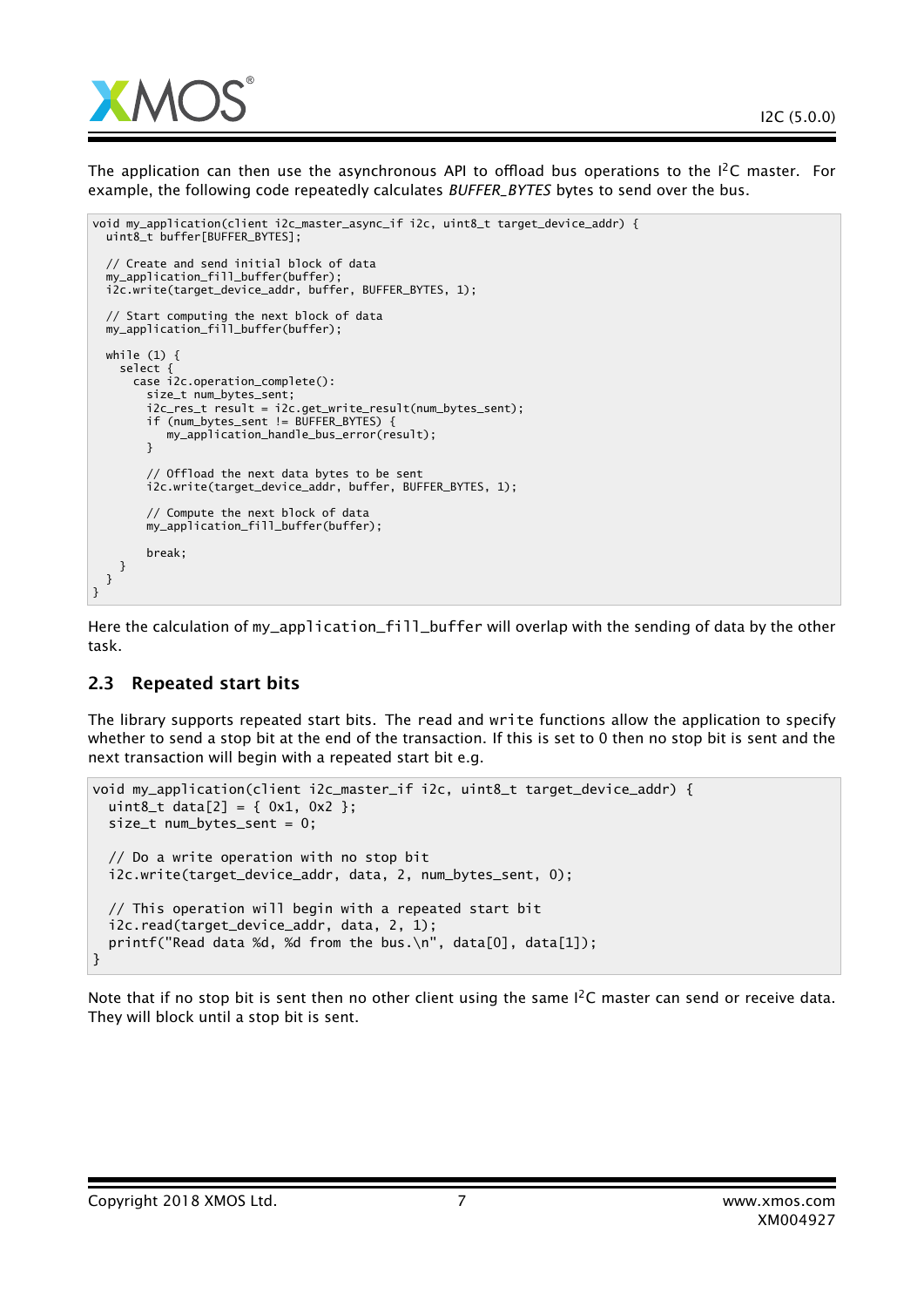

The application can then use the asynchronous API to offload bus operations to the  $I^2C$  master. For example, the following code repeatedly calculates *BUFFER\_BYTES* bytes to send over the bus.

```
void my_application(client i2c_master_async_if i2c, uint8_t target_device_addr) {
 uint8_t buffer[BUFFER_BYTES];
  // Create and send initial block of data
  my_application_fill_buffer(buffer);
  i2c.write(target_device_addr, buffer, BUFFER_BYTES, 1);
  // Start computing the next block of data
  my_application_fill_buffer(buffer);
 while (1) {
    select {
      case i2c.operation_complete():
        size_t num_bytes_sent;
        i2c_res_t result = i2c.get_write_result(num_bytes_sent);
       if (num_bytes_sent != BUFFER_BYTES) {
          my_application_handle_bus_error(result);
        }
        // Offload the next data bytes to be sent
        i2c.write(target_device_addr, buffer, BUFFER_BYTES, 1);
        // Compute the next block of data
       my_application_fill_buffer(buffer);
       break;
   }
 }
}
```
Here the calculation of my\_application\_fill\_buffer will overlap with the sending of data by the other task.

### 2.3 Repeated start bits

The library supports repeated start bits. The read and write functions allow the application to specify whether to send a stop bit at the end of the transaction. If this is set to 0 then no stop bit is sent and the next transaction will begin with a repeated start bit e.g.

```
void my_application(client i2c_master_if i2c, uint8_t target_device_addr) {
 uint8_t data[2] = { 0x1, 0x2 };size_t num_bytes_sent = 0;
 // Do a write operation with no stop bit
 i2c.write(target_device_addr, data, 2, num_bytes_sent, 0);
 // This operation will begin with a repeated start bit
 i2c.read(target_device_addr, data, 2, 1);
 printf("Read data %d, %d from the bus.\n", data[0], data[1]);
}
```
Note that if no stop bit is sent then no other client using the same  $I^2C$  master can send or receive data. They will block until a stop bit is sent.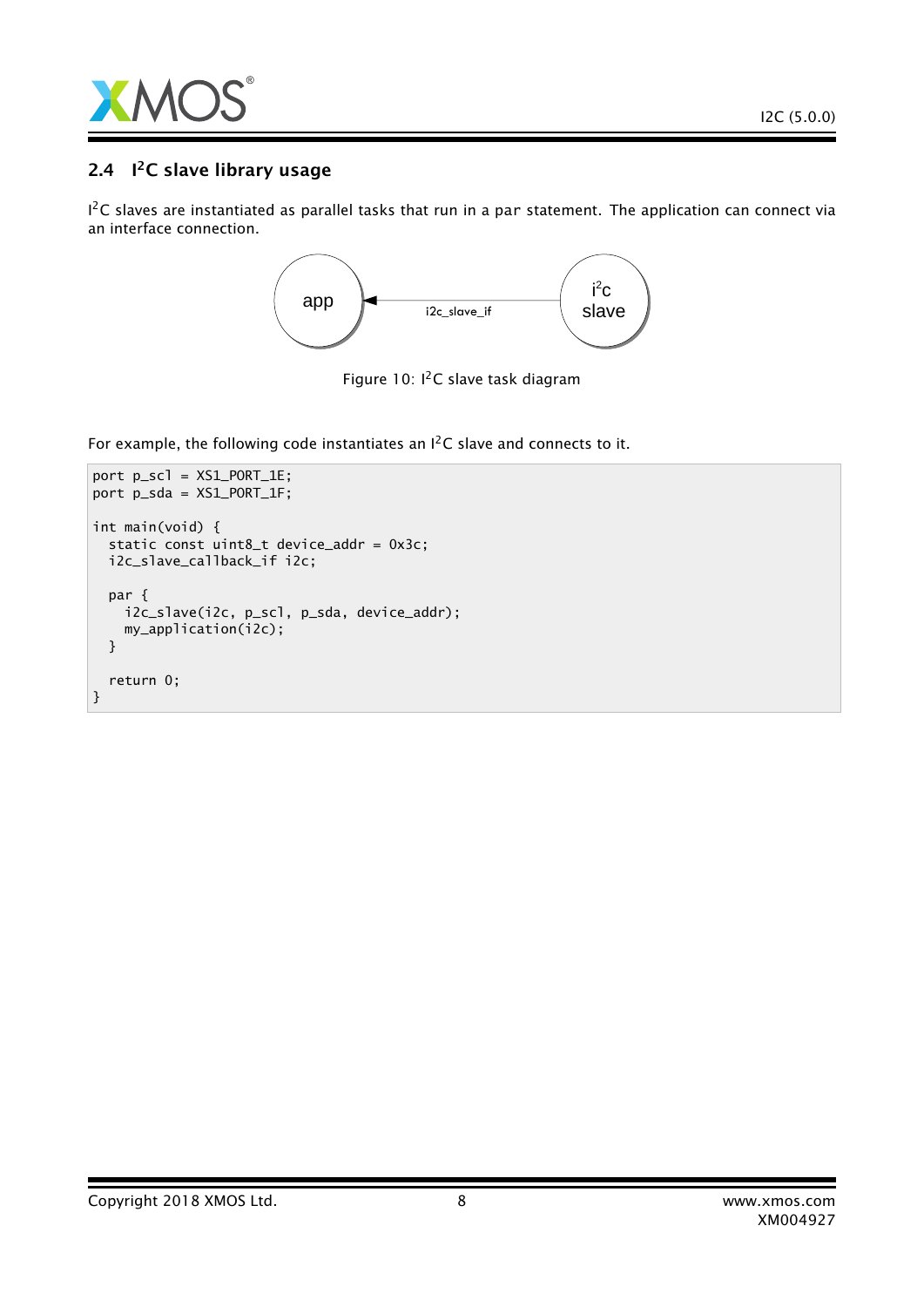

### 2.4 I<sup>2</sup>C slave library usage

 $1^2$ C slaves are instantiated as parallel tasks that run in a par statement. The application can connect via an interface connection.



Figure 10:  $I^2C$  slave task diagram

For example, the following code instantiates an I<sup>2</sup>C slave and connects to it.

```
port p_scl = XS1_PORT_1E;
port p_sda = XS1_PORT_1F;
int main(void) {
 static const uint8_t device_addr = 0x3c;
 i2c_slave_callback_if i2c;
 par {
   i2c_slave(i2c, p_scl, p_sda, device_addr);
   my_application(i2c);
 }
 return 0;
}
```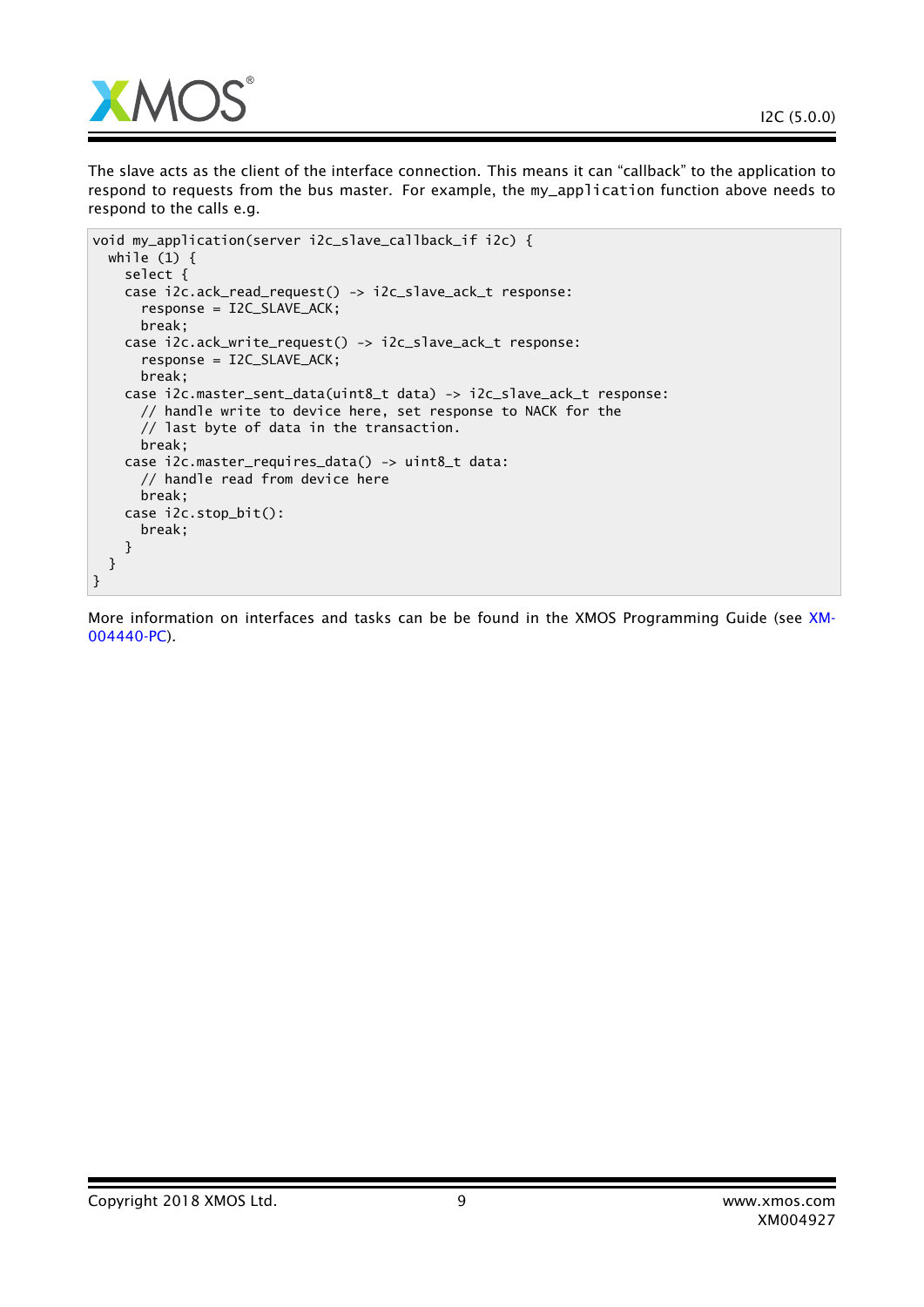

The slave acts as the client of the interface connection. This means it can "callback" to the application to respond to requests from the bus master. For example, the my\_application function above needs to respond to the calls e.g.

```
void my_application(server i2c_slave_callback_if i2c) {
 while (1) {
   select {
   case i2c.ack_read_request() -> i2c_slave_ack_t response:
      response = I2C_SLAVE_ACK;
     break;
   case i2c.ack_write_request() -> i2c_slave_ack_t response:
      response = I2C_SLAVE_ACK;
     break;
   case i2c.master_sent_data(uint8_t data) -> i2c_slave_ack_t response:
     // handle write to device here, set response to NACK for the
      // last byte of data in the transaction.
     break;
   case i2c.master_requires_data() -> uint8_t data:
      // handle read from device here
     break;
   case i2c.stop_bit():
     break;
   }
 }
}
```
More information on interfaces and tasks can be be found in the XMOS Programming Guide (see [XM-](http://www.xmos.com/doc/XM-004440-PC/latest#programming-guide)[004440-PC\)](http://www.xmos.com/doc/XM-004440-PC/latest#programming-guide).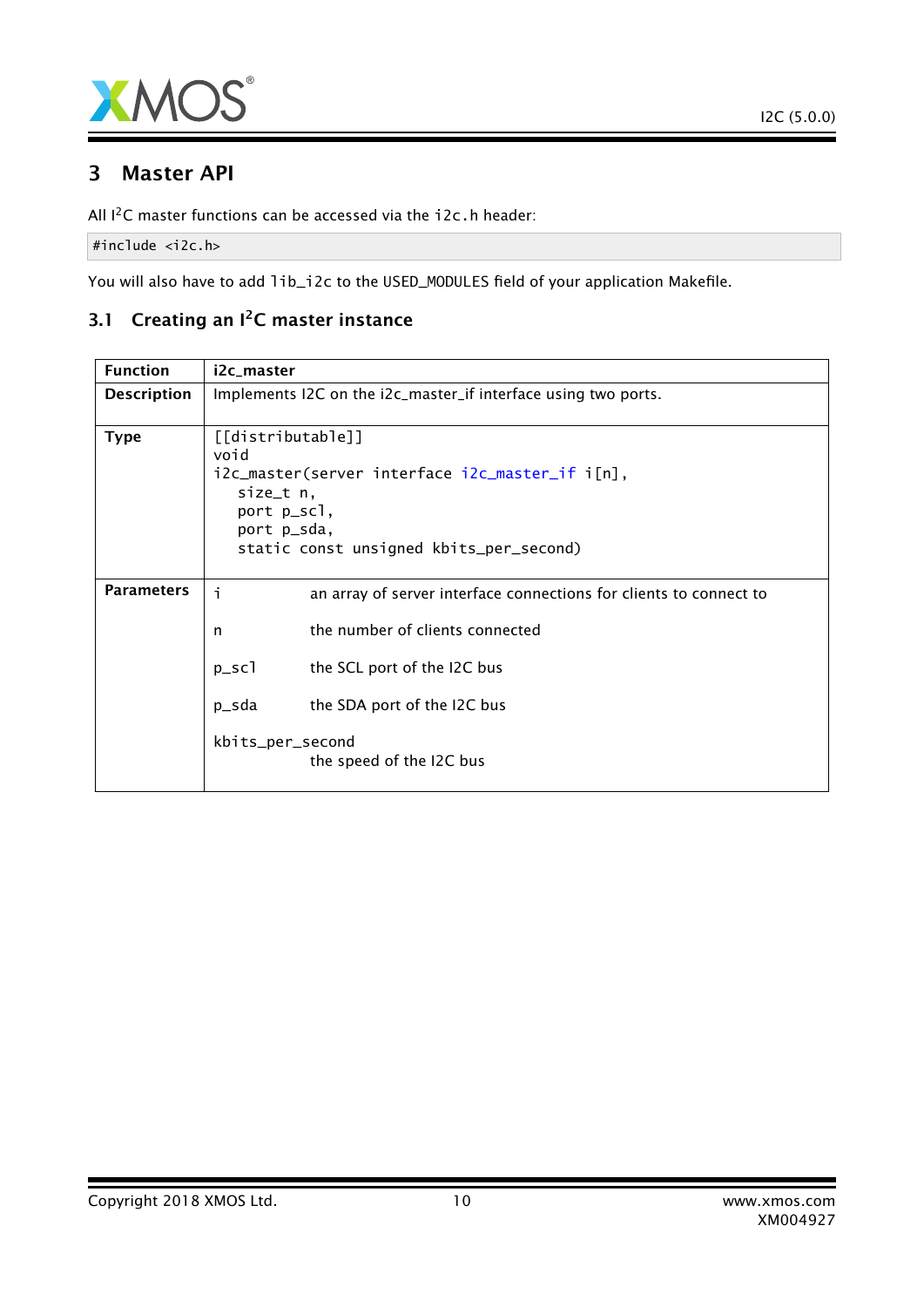

### 3 Master API

All I<sup>2</sup>C master functions can be accessed via the i2c.h header:

#include <i2c.h>

You will also have to add lib\_i2c to the USED\_MODULES field of your application Makefile.

### 3.1 Creating an I<sup>2</sup>C master instance

| <b>Function</b>    | i2c_master                                                                                                                                                         |                                                                    |
|--------------------|--------------------------------------------------------------------------------------------------------------------------------------------------------------------|--------------------------------------------------------------------|
| <b>Description</b> | Implements I2C on the i2c_master_if interface using two ports.                                                                                                     |                                                                    |
| <b>Type</b>        | [[distributable]]<br>void<br>i2c_master(server interface i2c_master_if i[n],<br>size_t n,<br>port p_scl,<br>port p_sda,<br>static const unsigned kbits_per_second) |                                                                    |
| <b>Parameters</b>  | i                                                                                                                                                                  | an array of server interface connections for clients to connect to |
|                    | n                                                                                                                                                                  | the number of clients connected                                    |
|                    | $p\_sc1$                                                                                                                                                           | the SCL port of the I2C bus                                        |
|                    | p_sda                                                                                                                                                              | the SDA port of the I2C bus                                        |
|                    | kbits_per_second                                                                                                                                                   | the speed of the I2C bus                                           |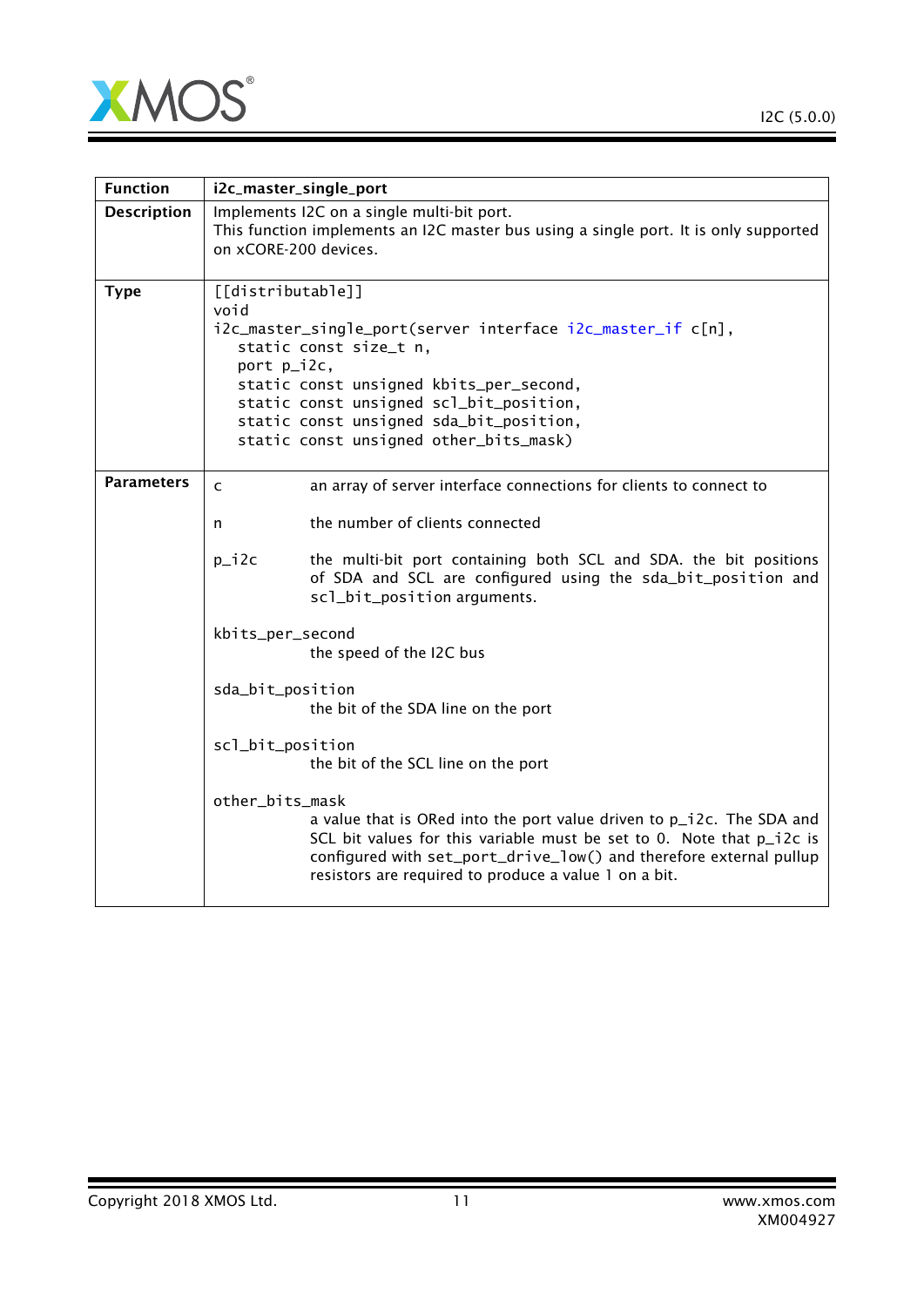

 $\overline{\phantom{0}}$ 

| <b>Function</b>    | i2c_master_single_port                                                                                                                                                                                                                                                                                       |
|--------------------|--------------------------------------------------------------------------------------------------------------------------------------------------------------------------------------------------------------------------------------------------------------------------------------------------------------|
| <b>Description</b> | Implements I2C on a single multi-bit port.<br>This function implements an I2C master bus using a single port. It is only supported<br>on xCORE-200 devices.                                                                                                                                                  |
| <b>Type</b>        | [[distributable]]<br>void<br>i2c_master_single_port(server interface i2c_master_if c[n],<br>static const size_t n,<br>port p_i2c,<br>static const unsigned kbits_per_second,<br>static const unsigned scl_bit_position,<br>static const unsigned sda_bit_position,<br>static const unsigned other_bits_mask) |
| <b>Parameters</b>  | an array of server interface connections for clients to connect to<br>C<br>the number of clients connected<br>n                                                                                                                                                                                              |
|                    | $p_i 2c$<br>the multi-bit port containing both SCL and SDA. the bit positions<br>of SDA and SCL are configured using the sda_bit_position and<br>scl_bit_position arguments.                                                                                                                                 |
|                    | kbits_per_second<br>the speed of the I2C bus                                                                                                                                                                                                                                                                 |
|                    | sda_bit_position<br>the bit of the SDA line on the port                                                                                                                                                                                                                                                      |
|                    | scl_bit_position<br>the bit of the SCL line on the port                                                                                                                                                                                                                                                      |
|                    | other_bits_mask<br>a value that is ORed into the port value driven to p_i2c. The SDA and<br>SCL bit values for this variable must be set to 0. Note that p_i2c is<br>configured with set_port_drive_low() and therefore external pullup<br>resistors are required to produce a value 1 on a bit.             |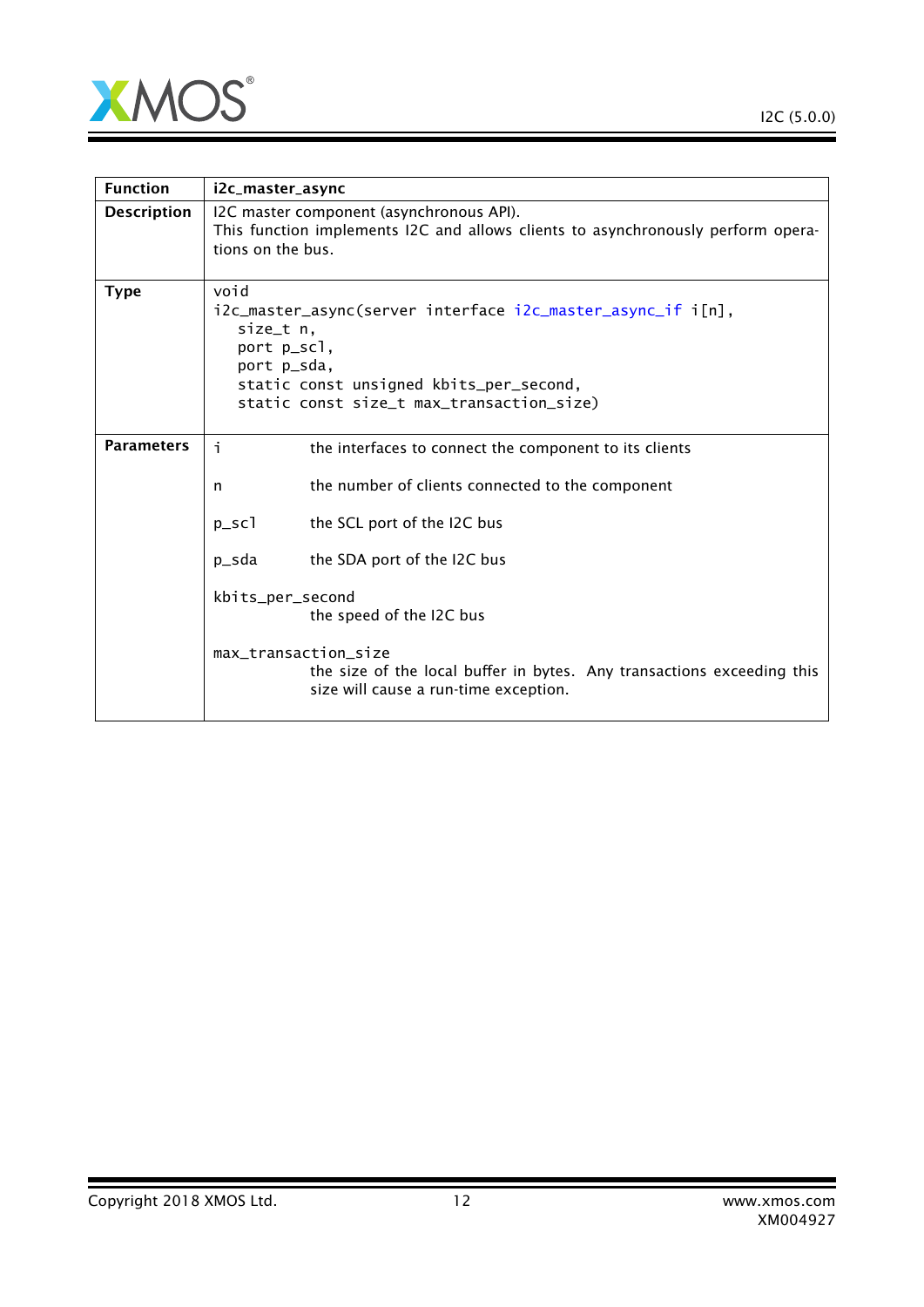

 $\overline{\phantom{0}}$ 

| <b>Function</b>    | i2c_master_async                                                                                                                                                                                       |  |
|--------------------|--------------------------------------------------------------------------------------------------------------------------------------------------------------------------------------------------------|--|
| <b>Description</b> | I2C master component (asynchronous API).<br>This function implements I2C and allows clients to asynchronously perform opera-<br>tions on the bus.                                                      |  |
| <b>Type</b>        | void<br>i2c_master_async(server interface i2c_master_async_if i[n],<br>size_t n,<br>port p_scl,<br>port p_sda,<br>static const unsigned kbits_per_second,<br>static const size_t max_transaction_size) |  |
| <b>Parameters</b>  | i.<br>the interfaces to connect the component to its clients                                                                                                                                           |  |
|                    | the number of clients connected to the component<br>n                                                                                                                                                  |  |
|                    | $p\_sc1$<br>the SCL port of the I2C bus                                                                                                                                                                |  |
|                    | the SDA port of the I2C bus<br>p_sda                                                                                                                                                                   |  |
|                    | kbits_per_second<br>the speed of the I2C bus                                                                                                                                                           |  |
|                    | max_transaction_size<br>the size of the local buffer in bytes. Any transactions exceeding this<br>size will cause a run-time exception.                                                                |  |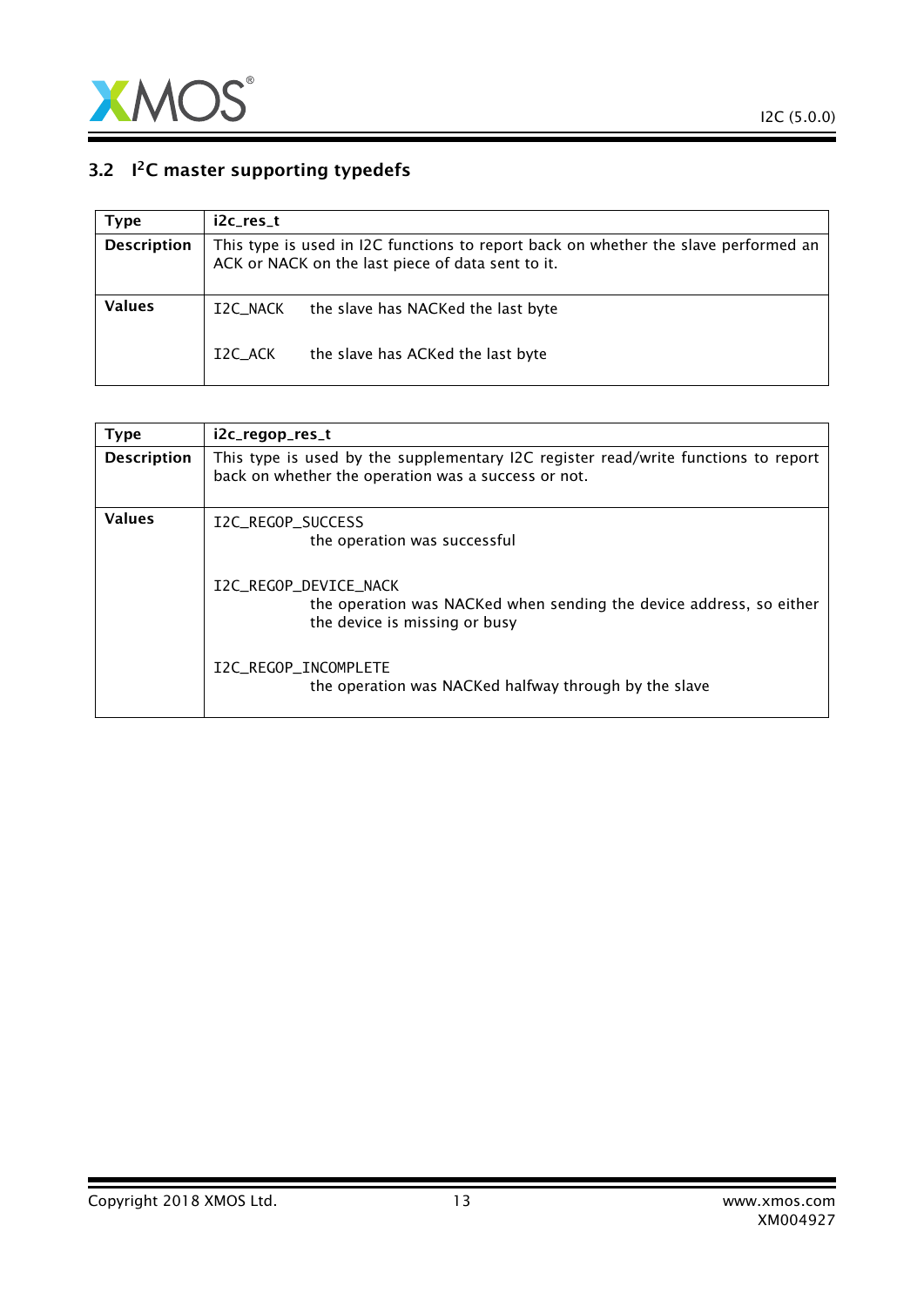

### 3.2  $1<sup>2</sup>C$  master supporting typedefs

<span id="page-12-0"></span>

| Type               | i2c res t |                                                                                                                                          |
|--------------------|-----------|------------------------------------------------------------------------------------------------------------------------------------------|
| <b>Description</b> |           | This type is used in I2C functions to report back on whether the slave performed an<br>ACK or NACK on the last piece of data sent to it. |
| Values             | I2C_NACK  | the slave has NACKed the last byte                                                                                                       |
|                    | I2C ACK   | the slave has ACKed the last byte                                                                                                        |

<span id="page-12-1"></span>

| <b>Type</b>        | i2c_regop_res_t                                                                                                                           |
|--------------------|-------------------------------------------------------------------------------------------------------------------------------------------|
| <b>Description</b> | This type is used by the supplementary I2C register read/write functions to report<br>back on whether the operation was a success or not. |
| <b>Values</b>      | I2C REGOP SUCCESS<br>the operation was successful                                                                                         |
|                    | I2C REGOP DEVICE NACK<br>the operation was NACKed when sending the device address, so either<br>the device is missing or busy             |
|                    | I2C_REGOP_INCOMPLETE<br>the operation was NACKed halfway through by the slave                                                             |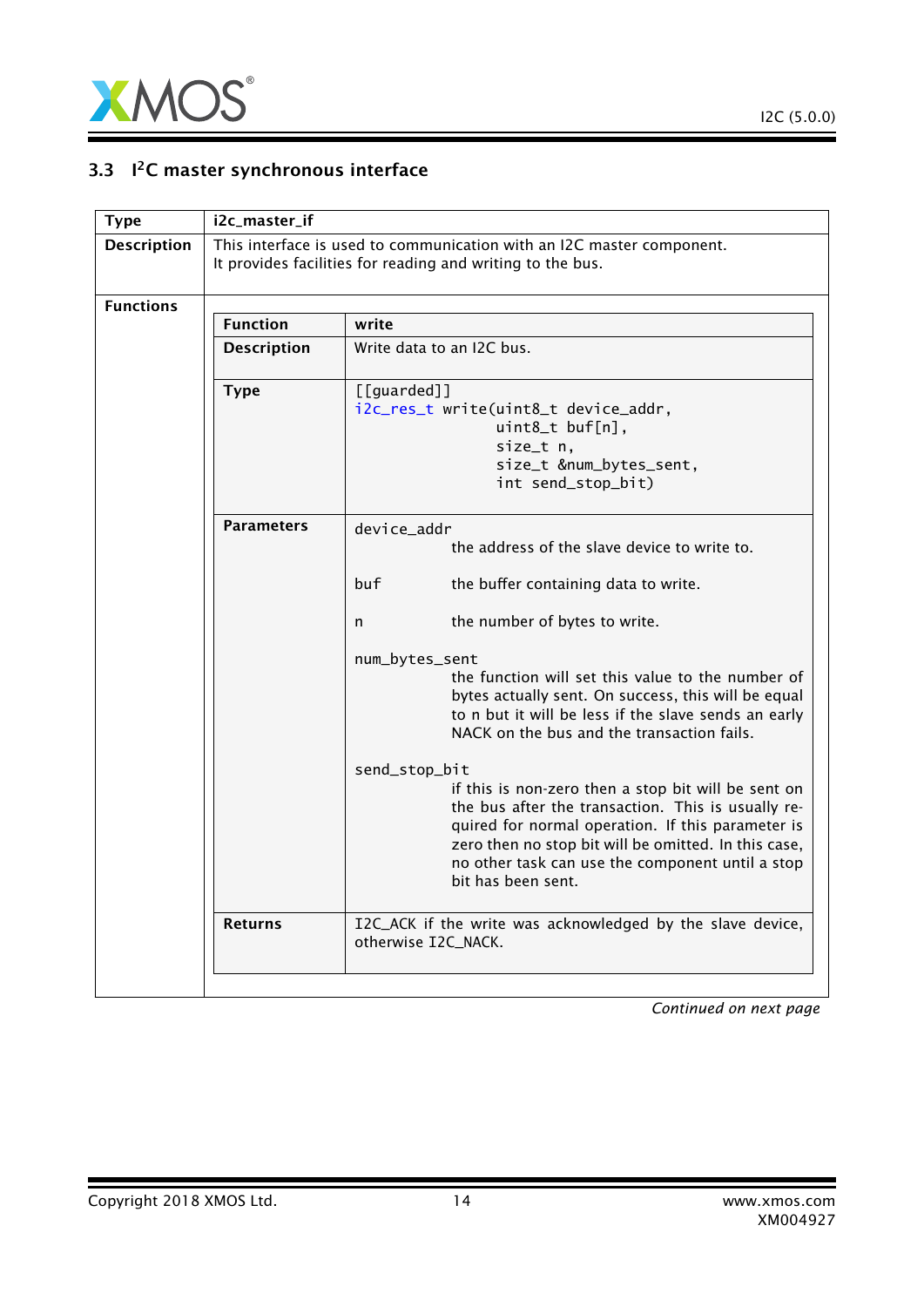

### 3.3 <sup>2</sup>C master synchronous interface

<span id="page-13-0"></span>

| <b>Type</b>        | i2c_master_if      |                                                                                                                                                                                                                                                                                                                   |
|--------------------|--------------------|-------------------------------------------------------------------------------------------------------------------------------------------------------------------------------------------------------------------------------------------------------------------------------------------------------------------|
| <b>Description</b> |                    | This interface is used to communication with an I2C master component.<br>It provides facilities for reading and writing to the bus.                                                                                                                                                                               |
| <b>Functions</b>   |                    |                                                                                                                                                                                                                                                                                                                   |
|                    | <b>Function</b>    | write                                                                                                                                                                                                                                                                                                             |
|                    | <b>Description</b> | Write data to an I2C bus.                                                                                                                                                                                                                                                                                         |
|                    | <b>Type</b>        | [[guarded]]<br>i2c_res_t write(uint8_t device_addr,<br>uint8_t buf[n],<br>size_t n,<br>size_t #_bytes_sent,<br>int send_stop_bit)                                                                                                                                                                                 |
|                    | <b>Parameters</b>  | device_addr<br>the address of the slave device to write to.                                                                                                                                                                                                                                                       |
|                    |                    | buf<br>the buffer containing data to write.                                                                                                                                                                                                                                                                       |
|                    |                    | the number of bytes to write.<br>n                                                                                                                                                                                                                                                                                |
|                    |                    | num_bytes_sent<br>the function will set this value to the number of<br>bytes actually sent. On success, this will be equal<br>to n but it will be less if the slave sends an early<br>NACK on the bus and the transaction fails.                                                                                  |
|                    |                    | send_stop_bit<br>if this is non-zero then a stop bit will be sent on<br>the bus after the transaction. This is usually re-<br>quired for normal operation. If this parameter is<br>zero then no stop bit will be omitted. In this case,<br>no other task can use the component until a stop<br>bit has been sent. |
|                    | <b>Returns</b>     | I2C_ACK if the write was acknowledged by the slave device,<br>otherwise I2C_NACK.                                                                                                                                                                                                                                 |
|                    |                    |                                                                                                                                                                                                                                                                                                                   |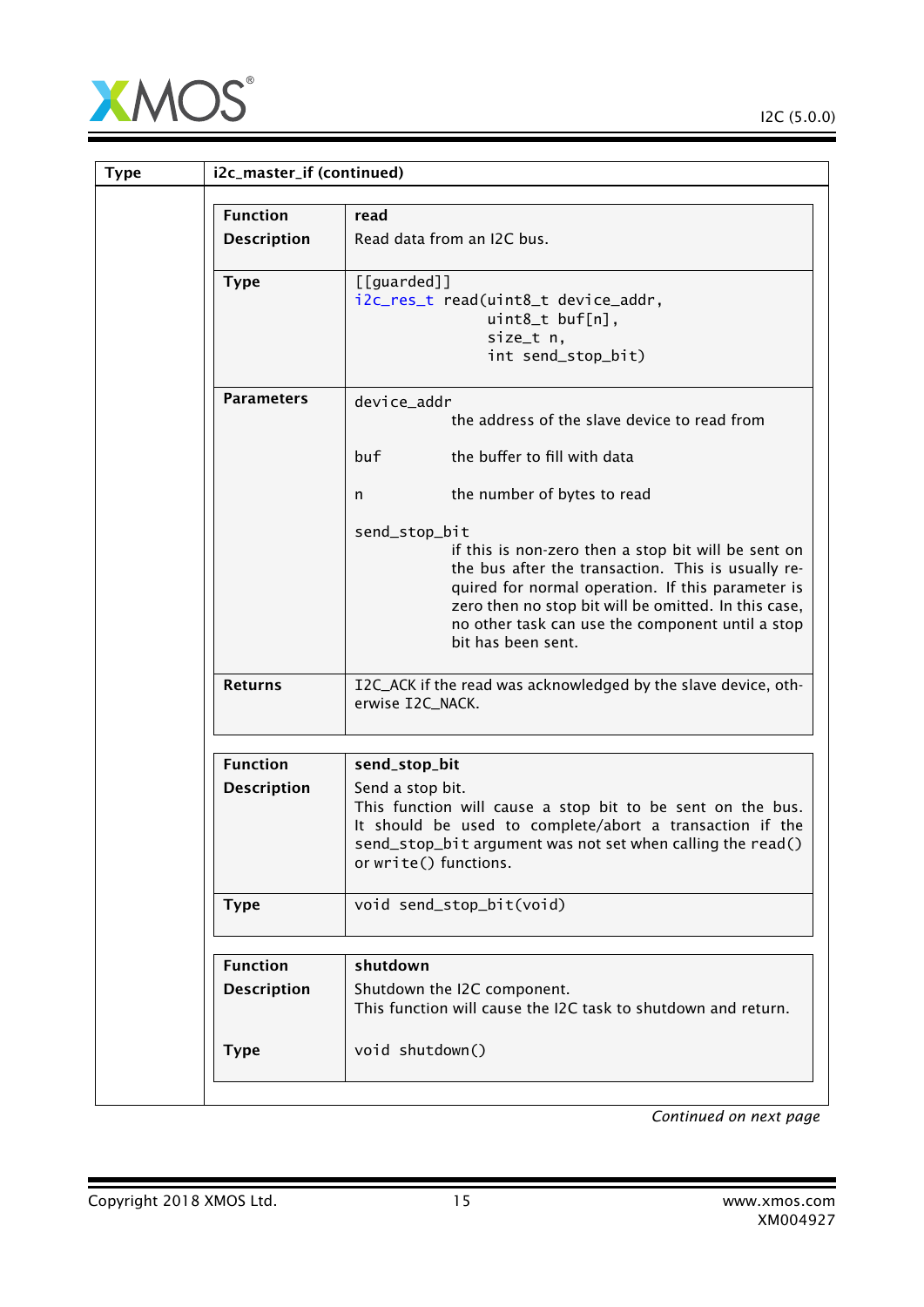

| <b>Type</b> | i2c_master_if (continued) |                                                                                                                                                                                                                                                                                                                   |
|-------------|---------------------------|-------------------------------------------------------------------------------------------------------------------------------------------------------------------------------------------------------------------------------------------------------------------------------------------------------------------|
|             | <b>Function</b>           | read                                                                                                                                                                                                                                                                                                              |
|             | <b>Description</b>        | Read data from an I2C bus.                                                                                                                                                                                                                                                                                        |
|             | <b>Type</b>               | $[$ [guarded]]<br>i2c_res_t read(uint8_t device_addr,<br>uint8_t buf[n],<br>size_t n,<br>int send_stop_bit)                                                                                                                                                                                                       |
|             | <b>Parameters</b>         | device_addr<br>the address of the slave device to read from                                                                                                                                                                                                                                                       |
|             |                           | the buffer to fill with data<br>buf                                                                                                                                                                                                                                                                               |
|             |                           | the number of bytes to read<br>n                                                                                                                                                                                                                                                                                  |
|             |                           | send_stop_bit<br>if this is non-zero then a stop bit will be sent on<br>the bus after the transaction. This is usually re-<br>quired for normal operation. If this parameter is<br>zero then no stop bit will be omitted. In this case,<br>no other task can use the component until a stop<br>bit has been sent. |
|             | <b>Returns</b>            | I2C_ACK if the read was acknowledged by the slave device, oth-<br>erwise I2C_NACK.                                                                                                                                                                                                                                |
|             | <b>Function</b>           | send_stop_bit                                                                                                                                                                                                                                                                                                     |
|             | <b>Description</b>        | Send a stop bit.<br>This function will cause a stop bit to be sent on the bus.<br>It should be used to complete/abort a transaction if the<br>send_stop_bit argument was not set when calling the read()<br>or write() functions.                                                                                 |
|             | <b>Type</b>               | void send_stop_bit(void)                                                                                                                                                                                                                                                                                          |
|             | <b>Function</b>           | shutdown                                                                                                                                                                                                                                                                                                          |
|             | <b>Description</b>        | Shutdown the I2C component.<br>This function will cause the I2C task to shutdown and return.                                                                                                                                                                                                                      |
|             | <b>Type</b>               | void shutdown()                                                                                                                                                                                                                                                                                                   |
|             |                           |                                                                                                                                                                                                                                                                                                                   |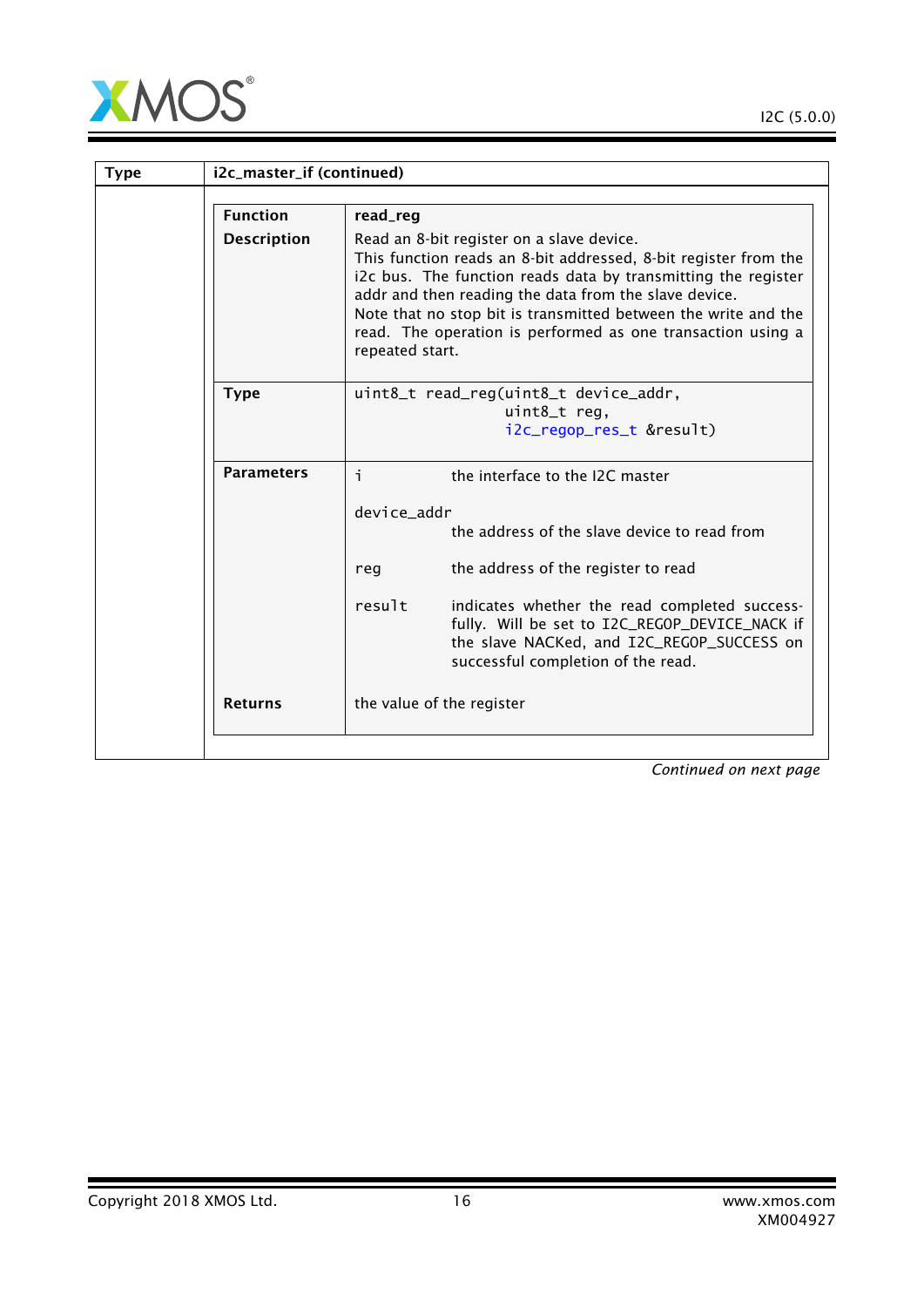

Ξ

| <b>Type</b> | i2c_master_if (continued) |                                                                                                                                                                                                                                                                                                                                                                                            |  |
|-------------|---------------------------|--------------------------------------------------------------------------------------------------------------------------------------------------------------------------------------------------------------------------------------------------------------------------------------------------------------------------------------------------------------------------------------------|--|
|             | <b>Function</b>           | read_reg                                                                                                                                                                                                                                                                                                                                                                                   |  |
|             | <b>Description</b>        | Read an 8-bit register on a slave device.<br>This function reads an 8-bit addressed, 8-bit register from the<br>i2c bus. The function reads data by transmitting the register<br>addr and then reading the data from the slave device.<br>Note that no stop bit is transmitted between the write and the<br>read. The operation is performed as one transaction using a<br>repeated start. |  |
|             | <b>Type</b>               | uint8_t read_reg(uint8_t device_addr,<br>uint8_t reg,<br>i2c_regop_res_t &result)                                                                                                                                                                                                                                                                                                          |  |
|             | <b>Parameters</b>         | i.<br>the interface to the I2C master<br>device_addr<br>the address of the slave device to read from<br>the address of the register to read<br>reg<br>result<br>indicates whether the read completed success-<br>fully. Will be set to I2C_REGOP_DEVICE_NACK if<br>the slave NACKed, and I2C_REGOP_SUCCESS on<br>successful completion of the read.                                        |  |
|             | <b>Returns</b>            | the value of the register                                                                                                                                                                                                                                                                                                                                                                  |  |
|             |                           |                                                                                                                                                                                                                                                                                                                                                                                            |  |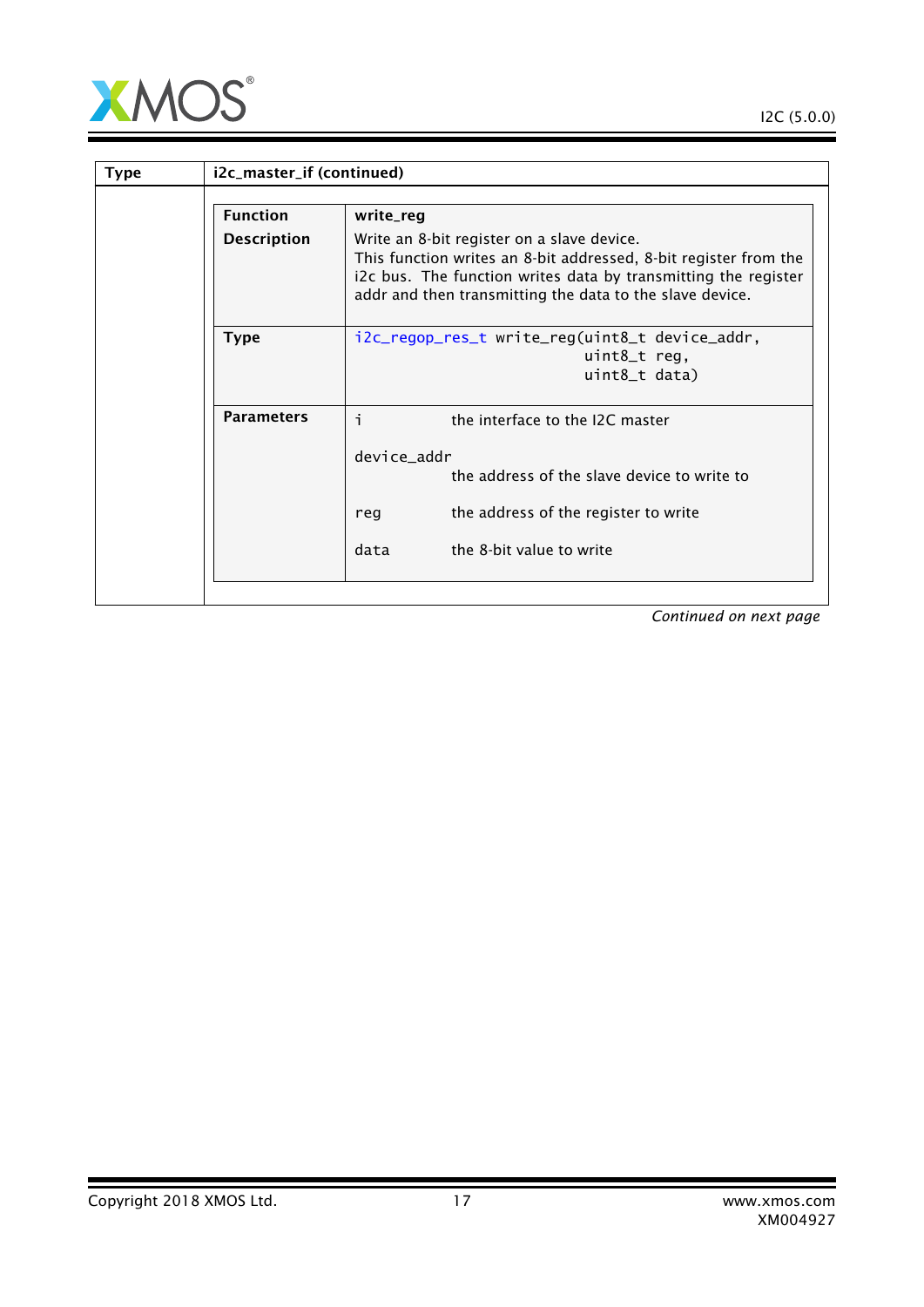

| i2c_master_if (continued) |                                                                                                                                                                                                                                              |
|---------------------------|----------------------------------------------------------------------------------------------------------------------------------------------------------------------------------------------------------------------------------------------|
| <b>Function</b>           | write_reg                                                                                                                                                                                                                                    |
| <b>Description</b>        | Write an 8-bit register on a slave device.<br>This function writes an 8-bit addressed, 8-bit register from the<br>i2c bus. The function writes data by transmitting the register<br>addr and then transmitting the data to the slave device. |
| <b>Type</b>               | i2c_regop_res_t write_reg(uint8_t device_addr,<br>uint8_t reg,<br>uint8_t data)                                                                                                                                                              |
| <b>Parameters</b>         | i.<br>the interface to the I2C master                                                                                                                                                                                                        |
|                           | device_addr<br>the address of the slave device to write to                                                                                                                                                                                   |
|                           | the address of the register to write<br>reg                                                                                                                                                                                                  |
|                           | data<br>the 8-bit value to write                                                                                                                                                                                                             |
|                           |                                                                                                                                                                                                                                              |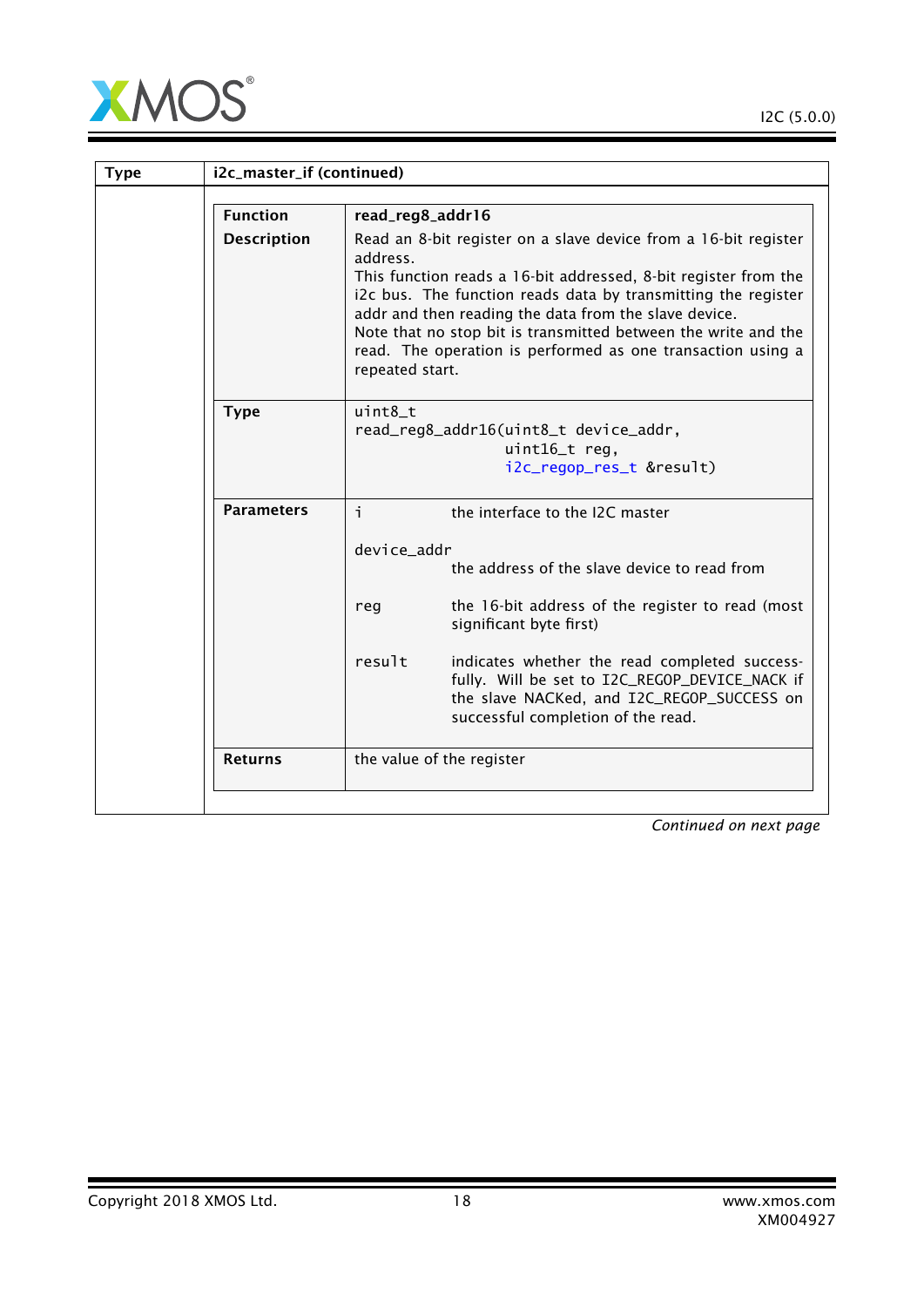

| <b>Type</b> | i2c_master_if (continued) |                                                                                                                                                                                                                                                                                                                                                                                                                              |
|-------------|---------------------------|------------------------------------------------------------------------------------------------------------------------------------------------------------------------------------------------------------------------------------------------------------------------------------------------------------------------------------------------------------------------------------------------------------------------------|
|             | <b>Function</b>           | read_reg8_addr16                                                                                                                                                                                                                                                                                                                                                                                                             |
|             | <b>Description</b>        | Read an 8-bit register on a slave device from a 16-bit register<br>address.<br>This function reads a 16-bit addressed, 8-bit register from the<br>i2c bus. The function reads data by transmitting the register<br>addr and then reading the data from the slave device.<br>Note that no stop bit is transmitted between the write and the<br>read. The operation is performed as one transaction using a<br>repeated start. |
|             | <b>Type</b>               | $uint8_t$<br>read_reg8_addr16(uint8_t device_addr,<br>uint16_t reg,<br>i2c_regop_res_t &result)                                                                                                                                                                                                                                                                                                                              |
|             | <b>Parameters</b>         | i.<br>the interface to the I2C master                                                                                                                                                                                                                                                                                                                                                                                        |
|             |                           | device addr<br>the address of the slave device to read from                                                                                                                                                                                                                                                                                                                                                                  |
|             |                           | the 16-bit address of the register to read (most<br>reg<br>significant byte first)                                                                                                                                                                                                                                                                                                                                           |
|             |                           | result<br>indicates whether the read completed success-<br>fully. Will be set to I2C_REGOP_DEVICE_NACK if<br>the slave NACKed, and I2C_REGOP_SUCCESS on<br>successful completion of the read.                                                                                                                                                                                                                                |
|             | <b>Returns</b>            | the value of the register                                                                                                                                                                                                                                                                                                                                                                                                    |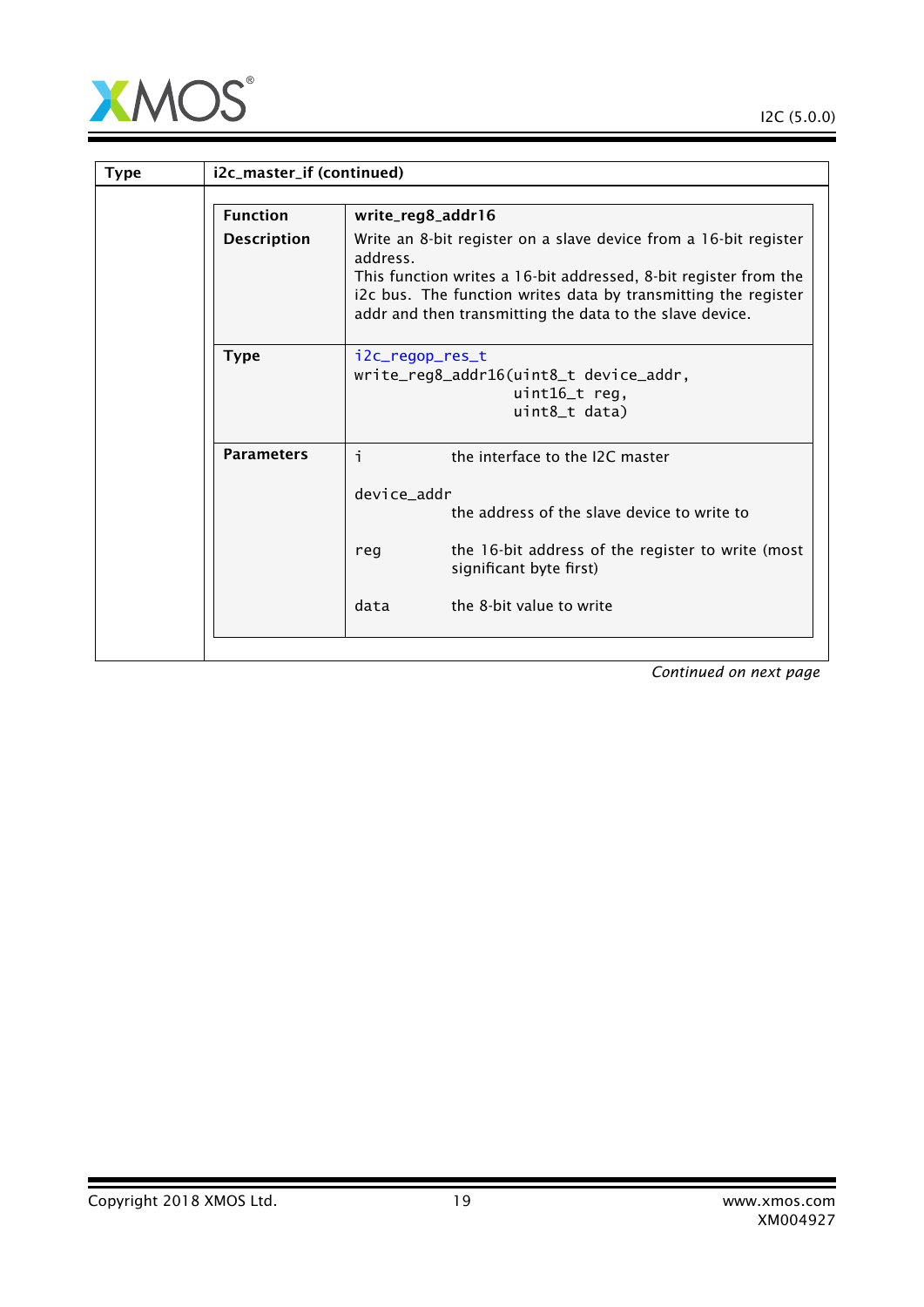

| i2c_master_if (continued) |                                                                                                                                                                                                                                                                                |  |
|---------------------------|--------------------------------------------------------------------------------------------------------------------------------------------------------------------------------------------------------------------------------------------------------------------------------|--|
| <b>Function</b>           | write_reg8_addr16                                                                                                                                                                                                                                                              |  |
| <b>Description</b>        | Write an 8-bit register on a slave device from a 16-bit register<br>address.<br>This function writes a 16-bit addressed, 8-bit register from the<br>i2c bus. The function writes data by transmitting the register<br>addr and then transmitting the data to the slave device. |  |
| <b>Type</b>               | i2c_regop_res_t<br>write_reg8_addr16(uint8_t device_addr,<br>$uint16_t$ reg,<br>uint8_t data)                                                                                                                                                                                  |  |
| <b>Parameters</b>         | j.<br>the interface to the I2C master                                                                                                                                                                                                                                          |  |
|                           | device addr<br>the address of the slave device to write to<br>the 16-bit address of the register to write (most<br>reg<br>significant byte first)<br>data<br>the 8-bit value to write                                                                                          |  |
|                           |                                                                                                                                                                                                                                                                                |  |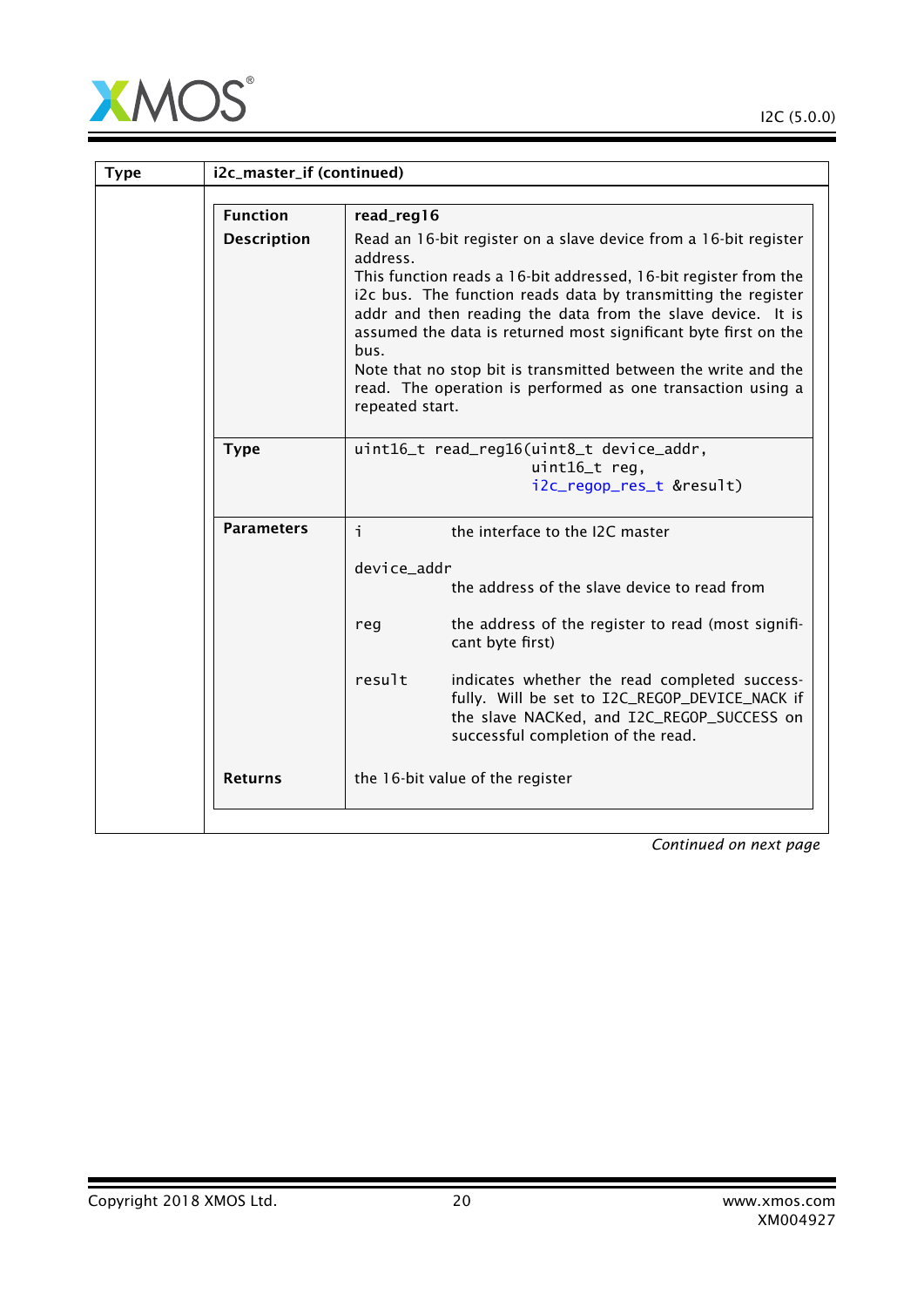

| <b>Type</b> | i2c_master_if (continued) |                                                                                                                                                                                                                                                                                                                                                                                                                                                                                                                 |
|-------------|---------------------------|-----------------------------------------------------------------------------------------------------------------------------------------------------------------------------------------------------------------------------------------------------------------------------------------------------------------------------------------------------------------------------------------------------------------------------------------------------------------------------------------------------------------|
|             | <b>Function</b>           | read_reg16                                                                                                                                                                                                                                                                                                                                                                                                                                                                                                      |
|             | <b>Description</b>        | Read an 16-bit register on a slave device from a 16-bit register<br>address.<br>This function reads a 16-bit addressed, 16-bit register from the<br>i2c bus. The function reads data by transmitting the register<br>addr and then reading the data from the slave device. It is<br>assumed the data is returned most significant byte first on the<br>bus.<br>Note that no stop bit is transmitted between the write and the<br>read. The operation is performed as one transaction using a<br>repeated start. |
|             | <b>Type</b>               | uint16_t read_reg16(uint8_t device_addr,<br>uint16_t reg,<br>i2c_regop_res_t &result)                                                                                                                                                                                                                                                                                                                                                                                                                           |
|             | <b>Parameters</b>         | i.<br>the interface to the I2C master                                                                                                                                                                                                                                                                                                                                                                                                                                                                           |
|             |                           | device_addr                                                                                                                                                                                                                                                                                                                                                                                                                                                                                                     |
|             |                           | the address of the slave device to read from                                                                                                                                                                                                                                                                                                                                                                                                                                                                    |
|             |                           | the address of the register to read (most signifi-<br>reg<br>cant byte first)                                                                                                                                                                                                                                                                                                                                                                                                                                   |
|             |                           | result<br>indicates whether the read completed success-<br>fully. Will be set to I2C_REGOP_DEVICE_NACK if<br>the slave NACKed, and I2C_REGOP_SUCCESS on<br>successful completion of the read.                                                                                                                                                                                                                                                                                                                   |
|             | <b>Returns</b>            | the 16-bit value of the register                                                                                                                                                                                                                                                                                                                                                                                                                                                                                |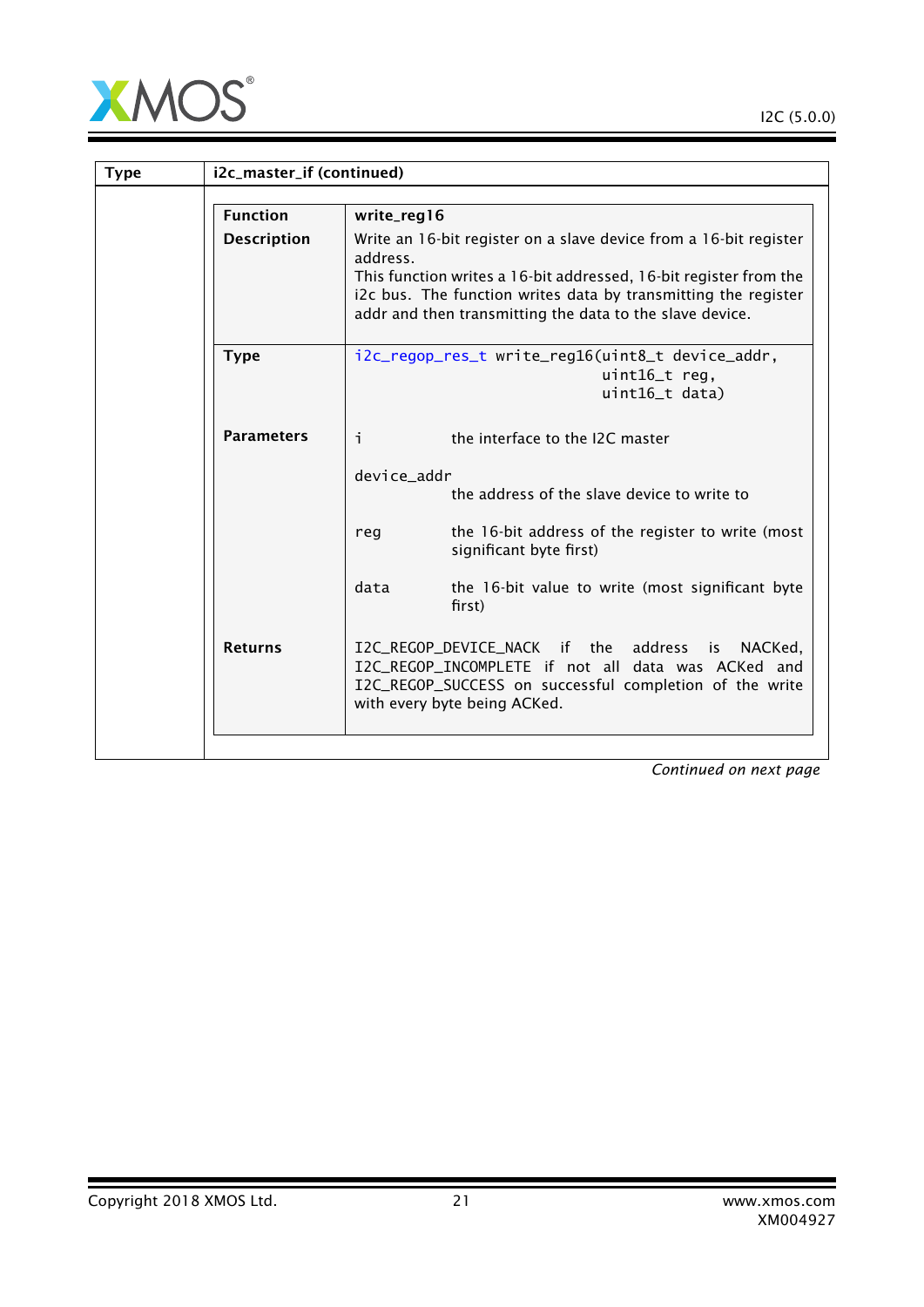

|                    | i2c_master_if (continued)                                                                                                                                                                                                                                                        |  |  |
|--------------------|----------------------------------------------------------------------------------------------------------------------------------------------------------------------------------------------------------------------------------------------------------------------------------|--|--|
| <b>Function</b>    | write_reg16                                                                                                                                                                                                                                                                      |  |  |
| <b>Description</b> | Write an 16-bit register on a slave device from a 16-bit register<br>address.<br>This function writes a 16-bit addressed, 16-bit register from the<br>i2c bus. The function writes data by transmitting the register<br>addr and then transmitting the data to the slave device. |  |  |
| <b>Type</b>        | i2c_regop_res_t write_reg16(uint8_t device_addr,<br>uint16_t req,<br>uint16_t data)                                                                                                                                                                                              |  |  |
| <b>Parameters</b>  | i.<br>the interface to the I2C master<br>device_addr<br>the address of the slave device to write to<br>the 16-bit address of the register to write (most<br>reg<br>significant byte first)<br>data<br>the 16-bit value to write (most significant byte<br>first)                 |  |  |
| <b>Returns</b>     | I2C_REGOP_DEVICE_NACK if the<br>address<br>NACKed,<br>is.<br>I2C_REGOP_INCOMPLETE if not all data was ACKed and<br>I2C_REGOP_SUCCESS on successful completion of the write<br>with every byte being ACKed.                                                                       |  |  |
|                    |                                                                                                                                                                                                                                                                                  |  |  |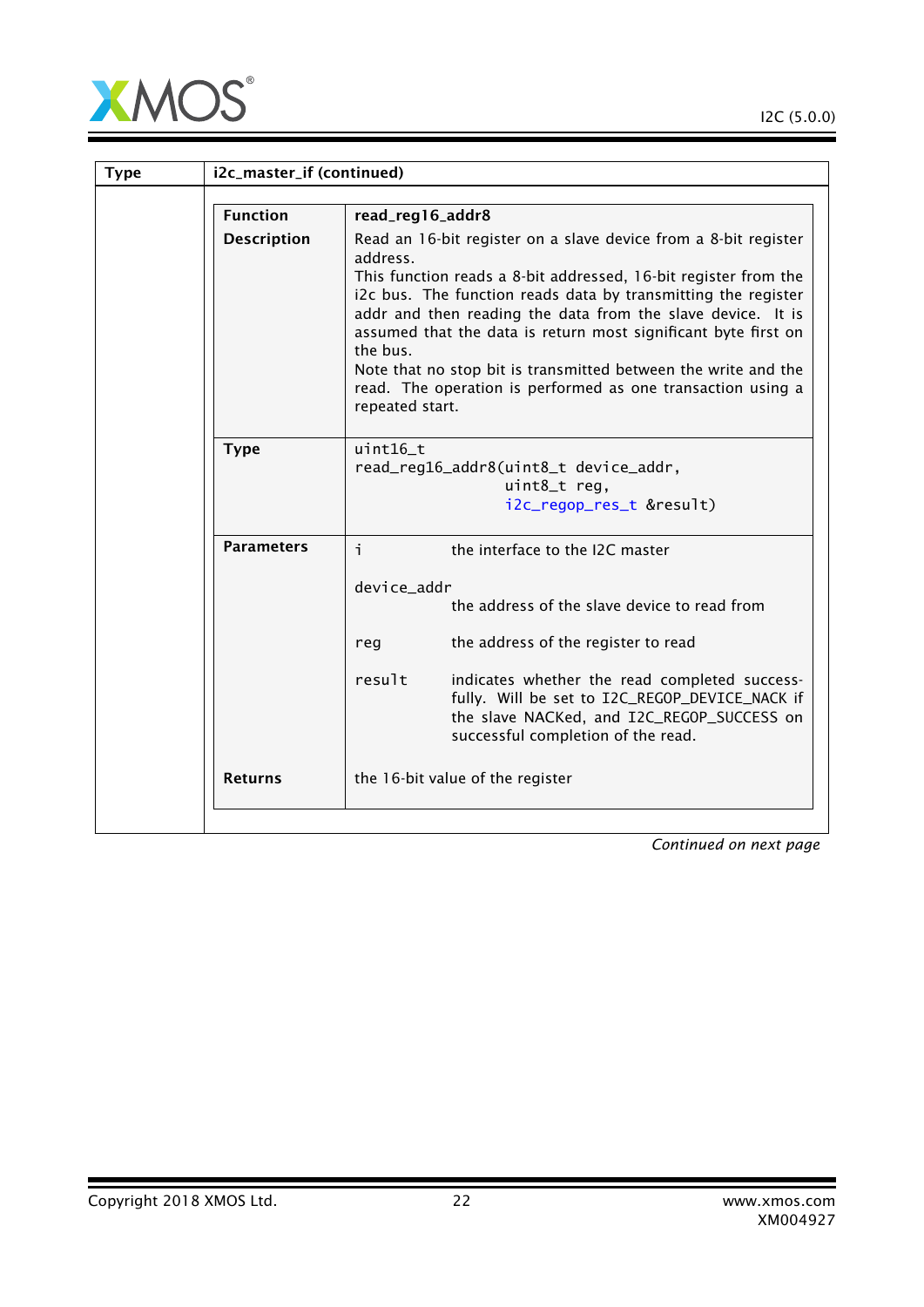

| <b>Type</b> | i2c_master_if (continued) |                                                                                                                                                                                                                                                                                                                                                                                                                                                                                                                  |
|-------------|---------------------------|------------------------------------------------------------------------------------------------------------------------------------------------------------------------------------------------------------------------------------------------------------------------------------------------------------------------------------------------------------------------------------------------------------------------------------------------------------------------------------------------------------------|
|             | <b>Function</b>           | read_reg16_addr8                                                                                                                                                                                                                                                                                                                                                                                                                                                                                                 |
|             | <b>Description</b>        | Read an 16-bit register on a slave device from a 8-bit register<br>address.<br>This function reads a 8-bit addressed, 16-bit register from the<br>i2c bus. The function reads data by transmitting the register<br>addr and then reading the data from the slave device. It is<br>assumed that the data is return most significant byte first on<br>the bus.<br>Note that no stop bit is transmitted between the write and the<br>read. The operation is performed as one transaction using a<br>repeated start. |
|             | <b>Type</b>               | $uint16$ t<br>read_reg16_addr8(uint8_t device_addr,<br>uint8_t reg,<br>i2c_regop_res_t &result)                                                                                                                                                                                                                                                                                                                                                                                                                  |
|             | <b>Parameters</b>         | i.<br>the interface to the I2C master                                                                                                                                                                                                                                                                                                                                                                                                                                                                            |
|             |                           | device_addr<br>the address of the slave device to read from                                                                                                                                                                                                                                                                                                                                                                                                                                                      |
|             |                           | the address of the register to read<br>reg                                                                                                                                                                                                                                                                                                                                                                                                                                                                       |
|             |                           | result<br>indicates whether the read completed success-<br>fully. Will be set to I2C_REGOP_DEVICE_NACK if<br>the slave NACKed, and I2C_REGOP_SUCCESS on<br>successful completion of the read.                                                                                                                                                                                                                                                                                                                    |
|             | <b>Returns</b>            | the 16-bit value of the register                                                                                                                                                                                                                                                                                                                                                                                                                                                                                 |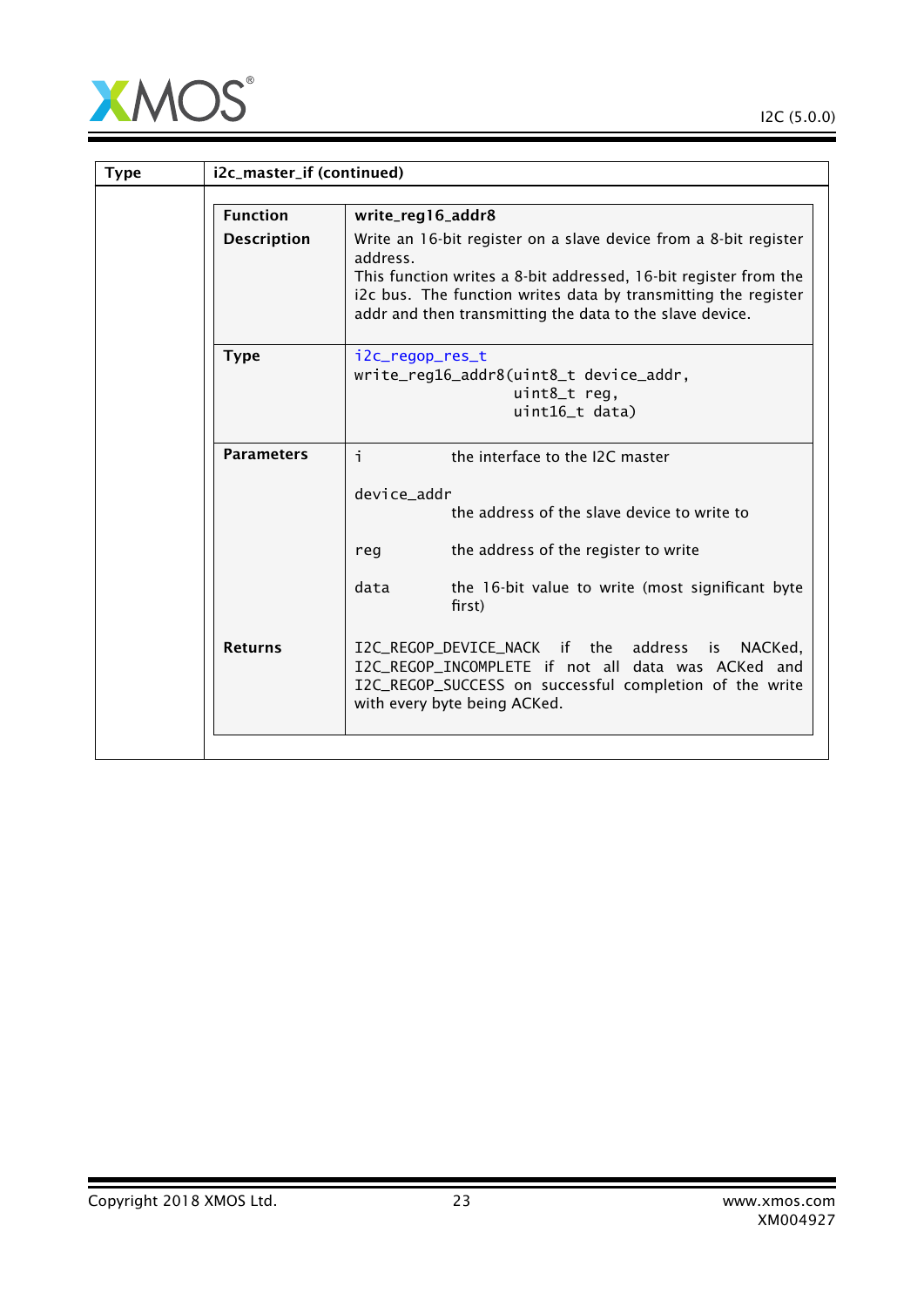

| i2c_master_if (continued) |                                                                                                                                                                                                                                                                                |  |
|---------------------------|--------------------------------------------------------------------------------------------------------------------------------------------------------------------------------------------------------------------------------------------------------------------------------|--|
| <b>Function</b>           | write_reg16_addr8                                                                                                                                                                                                                                                              |  |
| <b>Description</b>        | Write an 16-bit register on a slave device from a 8-bit register<br>address.<br>This function writes a 8-bit addressed, 16-bit register from the<br>i2c bus. The function writes data by transmitting the register<br>addr and then transmitting the data to the slave device. |  |
| <b>Type</b>               | i2c_regop_res_t<br>write_reg16_addr8(uint8_t device_addr,<br>uint8_t reg,<br>uint16_t data)                                                                                                                                                                                    |  |
| <b>Parameters</b>         | i.<br>the interface to the I2C master<br>device_addr<br>the address of the slave device to write to<br>the address of the register to write<br>reg<br>data<br>the 16-bit value to write (most significant byte<br>first)                                                       |  |
| <b>Returns</b>            | I2C_REGOP_DEVICE_NACK if the<br>address<br>NACKed,<br>is<br>I2C_REGOP_INCOMPLETE if not all data was ACKed and<br>I2C_REGOP_SUCCESS on successful completion of the write<br>with every byte being ACKed.                                                                      |  |
|                           |                                                                                                                                                                                                                                                                                |  |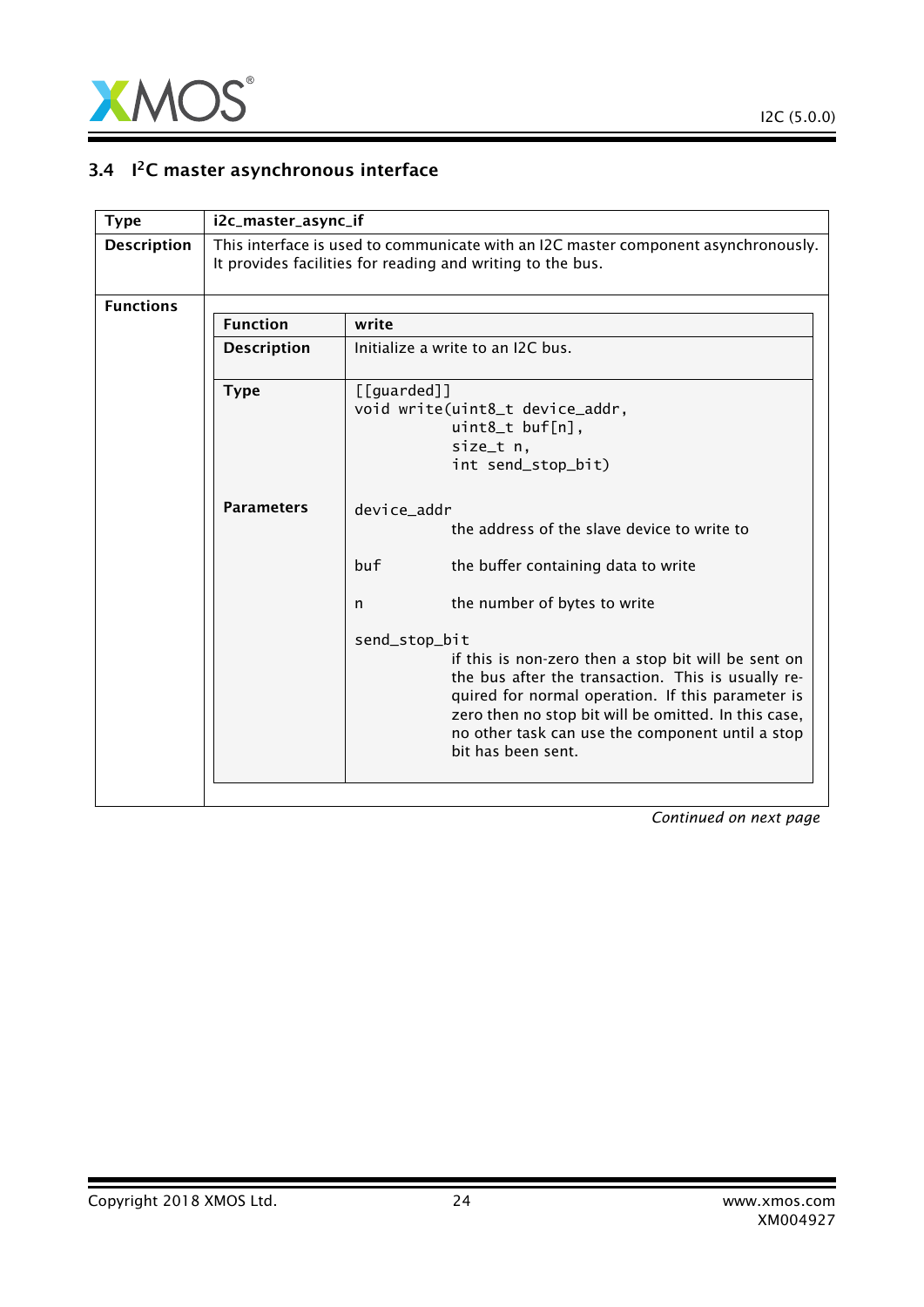

### 3.4 I<sup>2</sup>C master asynchronous interface

<span id="page-23-0"></span>

| <b>Type</b>        | i2c_master_async_if |                                                                                                                                                                                                                                                                                                                                                                                                                                                                    |
|--------------------|---------------------|--------------------------------------------------------------------------------------------------------------------------------------------------------------------------------------------------------------------------------------------------------------------------------------------------------------------------------------------------------------------------------------------------------------------------------------------------------------------|
| <b>Description</b> |                     | This interface is used to communicate with an I2C master component asynchronously.<br>It provides facilities for reading and writing to the bus.                                                                                                                                                                                                                                                                                                                   |
| <b>Functions</b>   |                     |                                                                                                                                                                                                                                                                                                                                                                                                                                                                    |
|                    | <b>Function</b>     | write                                                                                                                                                                                                                                                                                                                                                                                                                                                              |
|                    | <b>Description</b>  | Initialize a write to an I2C bus.                                                                                                                                                                                                                                                                                                                                                                                                                                  |
|                    | <b>Type</b>         | $[$ [guarded]]<br>void write(uint8_t device_addr,<br>uint8_t buf[n],<br>size_t n,<br>int send_stop_bit)                                                                                                                                                                                                                                                                                                                                                            |
|                    | <b>Parameters</b>   | device addr<br>the address of the slave device to write to<br>buf<br>the buffer containing data to write<br>the number of bytes to write<br>n<br>send_stop_bit<br>if this is non-zero then a stop bit will be sent on<br>the bus after the transaction. This is usually re-<br>quired for normal operation. If this parameter is<br>zero then no stop bit will be omitted. In this case,<br>no other task can use the component until a stop<br>bit has been sent. |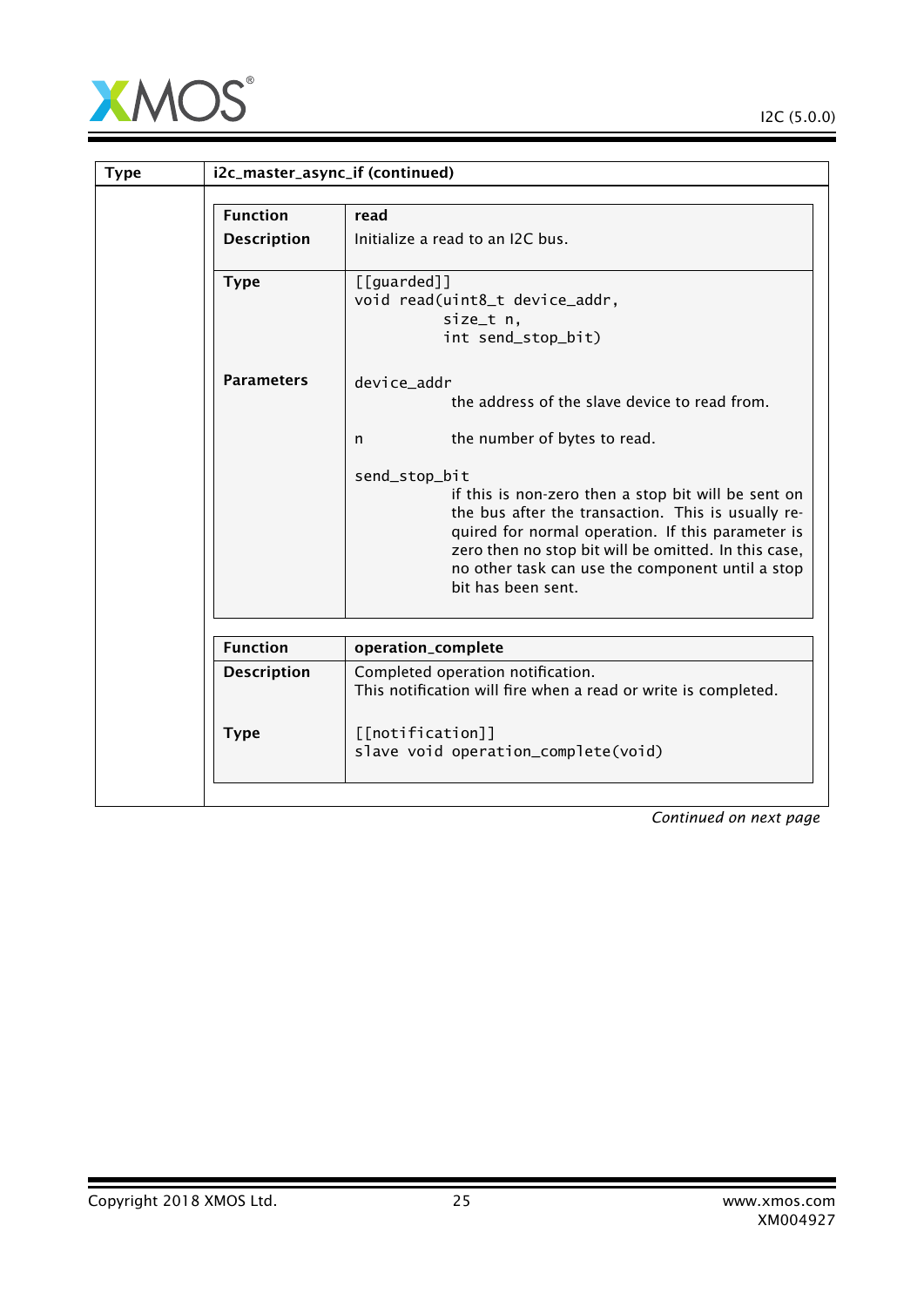

I2C (5.0.0)

| <b>Type</b> |                    | i2c_master_async_if (continued)                                                                                                                                                                                                                                                                                                                                                                                        |
|-------------|--------------------|------------------------------------------------------------------------------------------------------------------------------------------------------------------------------------------------------------------------------------------------------------------------------------------------------------------------------------------------------------------------------------------------------------------------|
|             | <b>Function</b>    | read                                                                                                                                                                                                                                                                                                                                                                                                                   |
|             | <b>Description</b> | Initialize a read to an I2C bus.                                                                                                                                                                                                                                                                                                                                                                                       |
|             | <b>Type</b>        | [[guarded]]<br>void read(uint8_t device_addr,<br>size_t n,<br>int send_stop_bit)                                                                                                                                                                                                                                                                                                                                       |
|             | <b>Parameters</b>  | device addr<br>the address of the slave device to read from.<br>the number of bytes to read.<br>n<br>send_stop_bit<br>if this is non-zero then a stop bit will be sent on<br>the bus after the transaction. This is usually re-<br>quired for normal operation. If this parameter is<br>zero then no stop bit will be omitted. In this case,<br>no other task can use the component until a stop<br>bit has been sent. |
|             | <b>Function</b>    | operation_complete                                                                                                                                                                                                                                                                                                                                                                                                     |
|             | <b>Description</b> | Completed operation notification.<br>This notification will fire when a read or write is completed.                                                                                                                                                                                                                                                                                                                    |
|             | <b>Type</b>        | [[notification]]<br>slave void operation_complete(void)                                                                                                                                                                                                                                                                                                                                                                |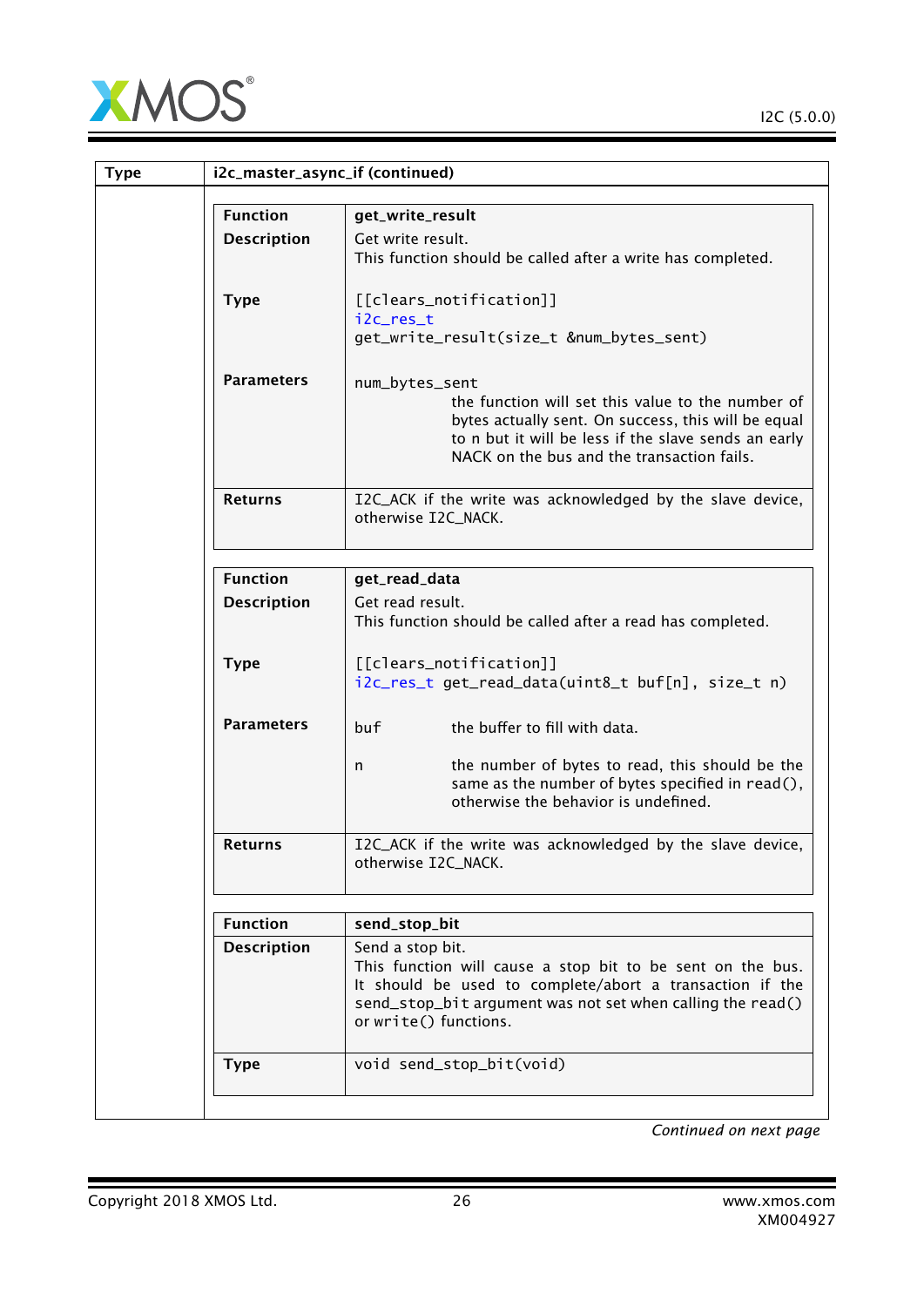

| <b>Type</b> | i2c_master_async_if (continued) |                                                                                                                                                                                                                                   |  |
|-------------|---------------------------------|-----------------------------------------------------------------------------------------------------------------------------------------------------------------------------------------------------------------------------------|--|
|             | <b>Function</b>                 | get_write_result                                                                                                                                                                                                                  |  |
|             | <b>Description</b>              | Get write result.<br>This function should be called after a write has completed.                                                                                                                                                  |  |
|             | <b>Type</b>                     | [[clears_notification]]<br>i2c_res_t<br>get_write_result(size_t #_bytes_sent)                                                                                                                                                     |  |
|             | <b>Parameters</b>               | num_bytes_sent<br>the function will set this value to the number of<br>bytes actually sent. On success, this will be equal<br>to n but it will be less if the slave sends an early<br>NACK on the bus and the transaction fails.  |  |
|             | <b>Returns</b>                  | I2C_ACK if the write was acknowledged by the slave device,<br>otherwise I2C_NACK.                                                                                                                                                 |  |
|             | <b>Function</b>                 | get_read_data                                                                                                                                                                                                                     |  |
|             | <b>Description</b>              | Get read result.<br>This function should be called after a read has completed.                                                                                                                                                    |  |
|             | <b>Type</b>                     | [[clears_notification]]<br>i2c_res_t get_read_data(uint8_t buf[n], size_t n)                                                                                                                                                      |  |
|             | <b>Parameters</b>               | buf<br>the buffer to fill with data.<br>the number of bytes to read, this should be the<br>n<br>same as the number of bytes specified in read(),<br>otherwise the behavior is undefined.                                          |  |
|             | <b>Returns</b>                  | I2C_ACK if the write was acknowledged by the slave device,<br>otherwise I2C_NACK.                                                                                                                                                 |  |
|             | <b>Function</b>                 | send_stop_bit                                                                                                                                                                                                                     |  |
|             | <b>Description</b>              | Send a stop bit.<br>This function will cause a stop bit to be sent on the bus.<br>It should be used to complete/abort a transaction if the<br>send_stop_bit argument was not set when calling the read()<br>or write() functions. |  |
|             | <b>Type</b>                     | void send_stop_bit(void)                                                                                                                                                                                                          |  |
|             |                                 |                                                                                                                                                                                                                                   |  |

Copyright 2018 XMOS Ltd. 26 www.xmos.com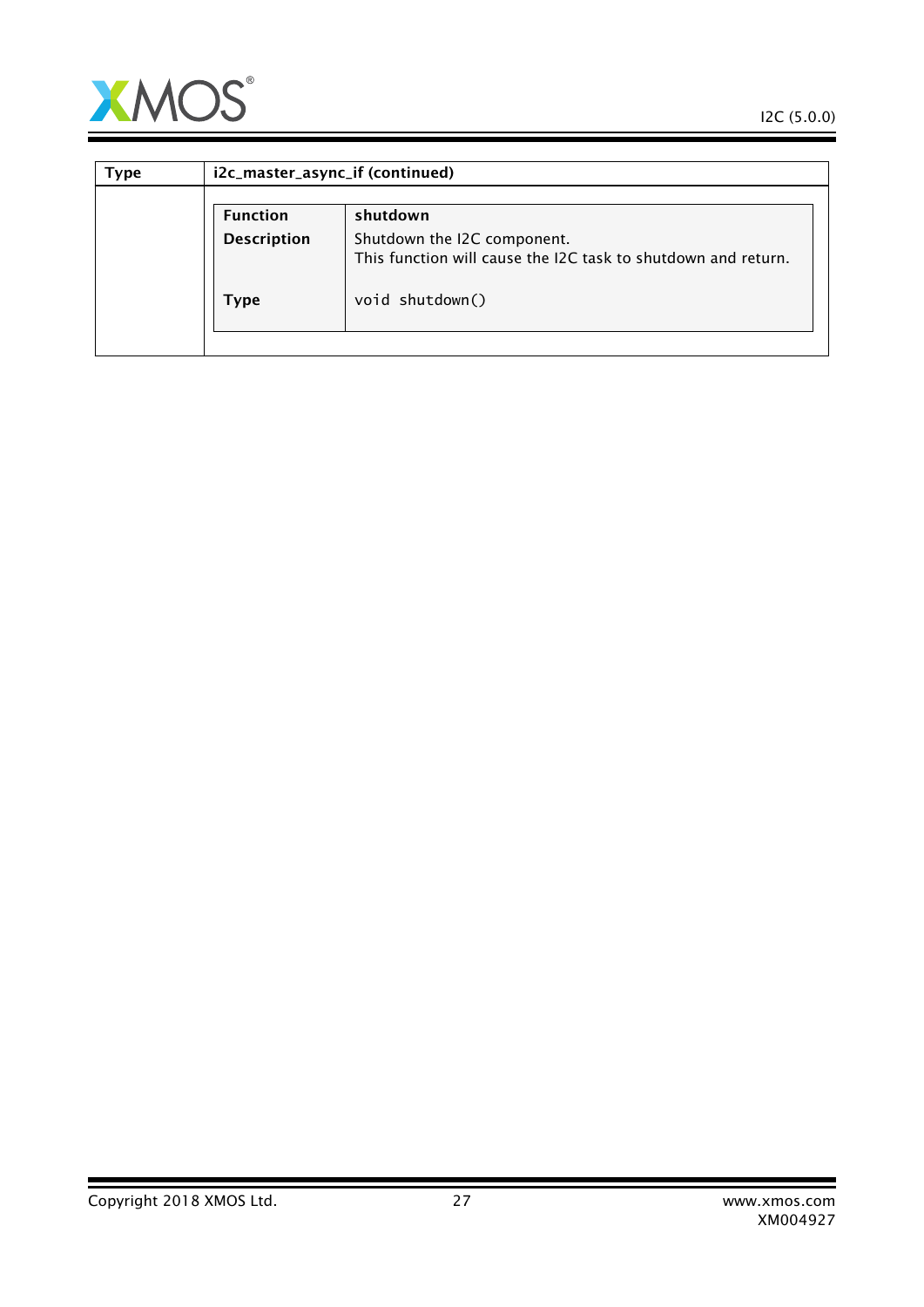

Ξ

| Type | i2c_master_async_if (continued) |                                                                                              |  |
|------|---------------------------------|----------------------------------------------------------------------------------------------|--|
|      | <b>Function</b>                 | shutdown                                                                                     |  |
|      | <b>Description</b>              | Shutdown the I2C component.<br>This function will cause the I2C task to shutdown and return. |  |
|      | Type                            | void shutdown()                                                                              |  |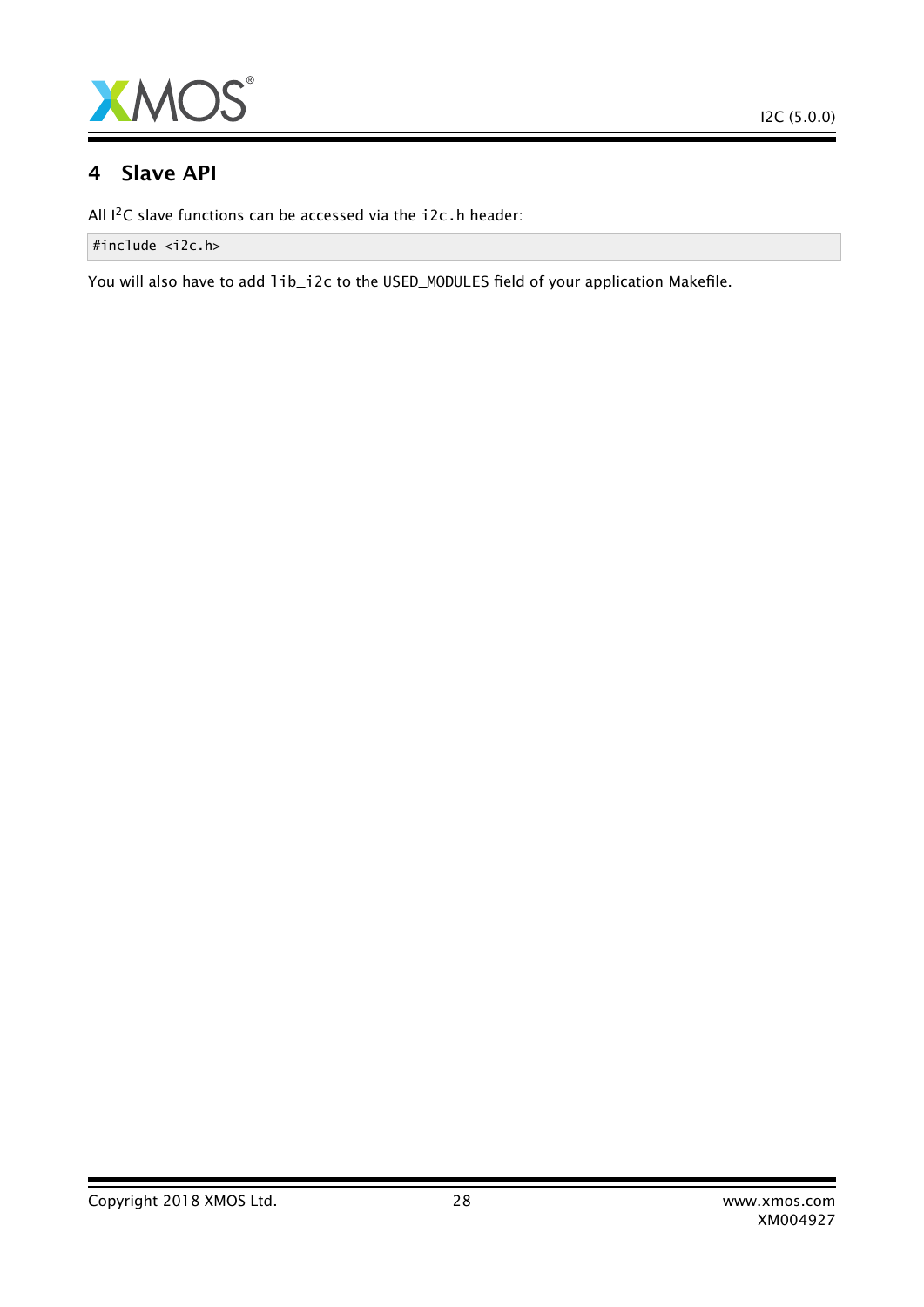

### 4 Slave API

All I<sup>2</sup>C slave functions can be accessed via the i2c.h header:

#include <i2c.h>

You will also have to add lib\_i2c to the USED\_MODULES field of your application Makefile.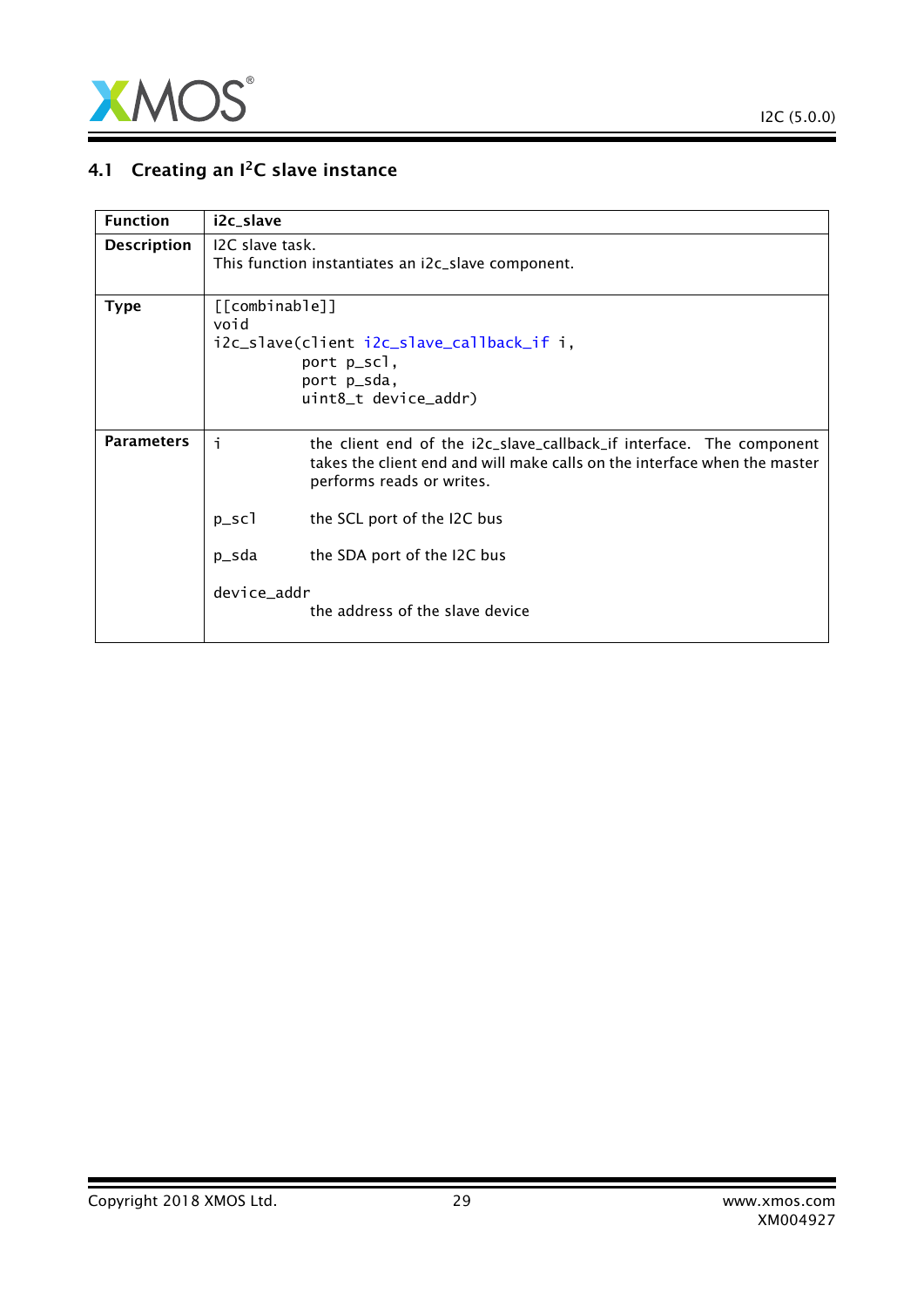

## 4.1 Creating an  $I^2C$  slave instance

| <b>Function</b>    | i2c_slave                                                                                                                 |                                                                                                                                                                                |  |
|--------------------|---------------------------------------------------------------------------------------------------------------------------|--------------------------------------------------------------------------------------------------------------------------------------------------------------------------------|--|
| <b>Description</b> | I <sub>2</sub> C slave task.<br>This function instantiates an i2c_slave component.                                        |                                                                                                                                                                                |  |
| <b>Type</b>        | [[combinable]]<br>void<br>i2c_slave(client i2c_slave_callback_if i,<br>port p_scl,<br>port p_sda,<br>uint8_t device_addr) |                                                                                                                                                                                |  |
| <b>Parameters</b>  | j.                                                                                                                        | the client end of the i2c_slave_callback_if interface. The component<br>takes the client end and will make calls on the interface when the master<br>performs reads or writes. |  |
|                    | $p\_sc1$                                                                                                                  | the SCL port of the I2C bus                                                                                                                                                    |  |
|                    | p_sda                                                                                                                     | the SDA port of the I2C bus                                                                                                                                                    |  |
|                    | device_addr                                                                                                               | the address of the slave device                                                                                                                                                |  |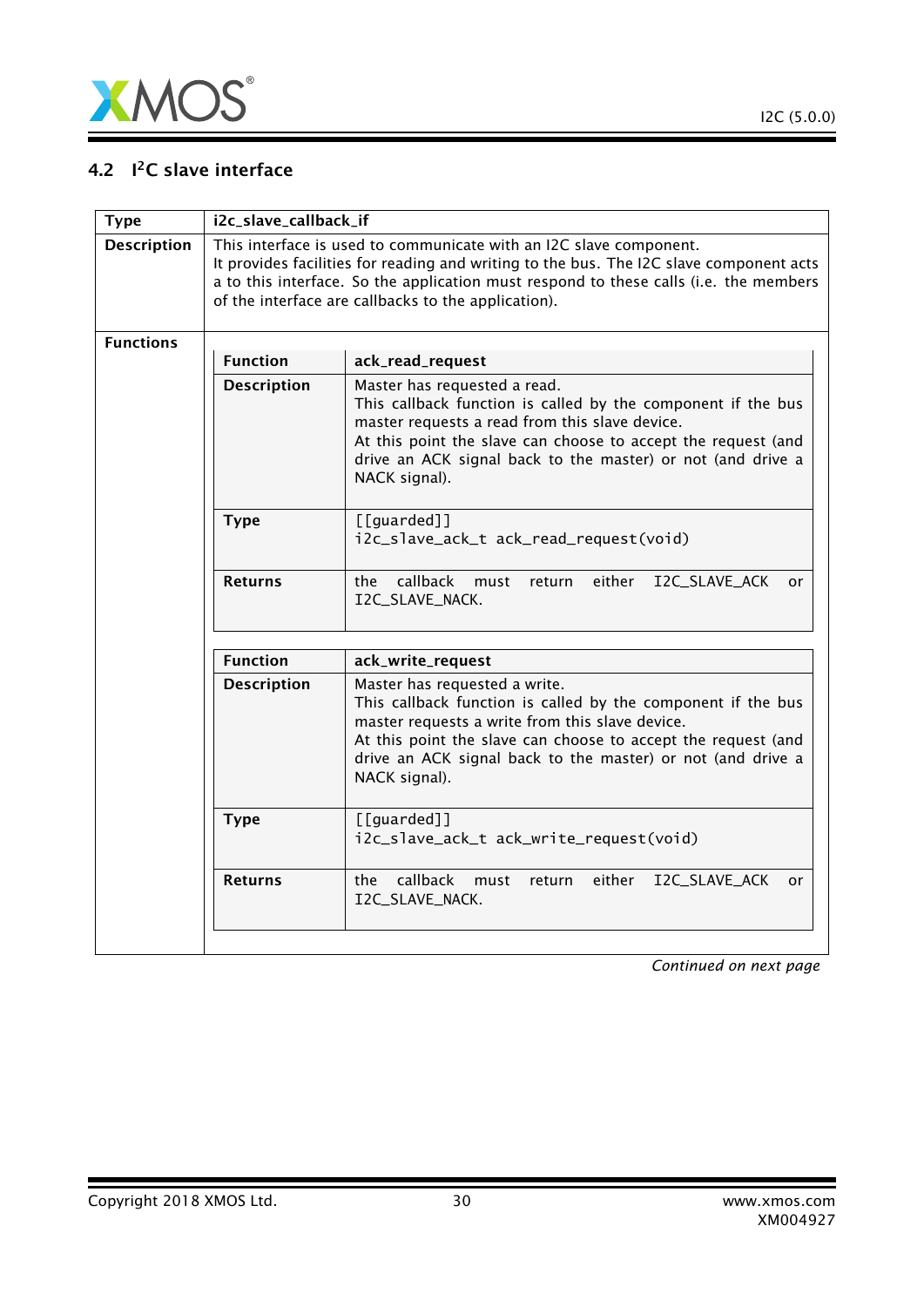

### 4.2 I<sup>2</sup>C slave interface

<span id="page-29-0"></span>

| <b>Type</b>        | i2c_slave_callback_if |                                                                                                                                                                                                                                                                                                               |
|--------------------|-----------------------|---------------------------------------------------------------------------------------------------------------------------------------------------------------------------------------------------------------------------------------------------------------------------------------------------------------|
| <b>Description</b> |                       | This interface is used to communicate with an I2C slave component.<br>It provides facilities for reading and writing to the bus. The I2C slave component acts<br>a to this interface. So the application must respond to these calls (i.e. the members<br>of the interface are callbacks to the application). |
| <b>Functions</b>   |                       |                                                                                                                                                                                                                                                                                                               |
|                    | <b>Function</b>       | ack_read_request                                                                                                                                                                                                                                                                                              |
|                    | <b>Description</b>    | Master has requested a read.<br>This callback function is called by the component if the bus<br>master requests a read from this slave device.<br>At this point the slave can choose to accept the request (and<br>drive an ACK signal back to the master) or not (and drive a<br>NACK signal).               |
|                    | <b>Type</b>           | [[guarded]]<br>i2c_slave_ack_t ack_read_request(void)                                                                                                                                                                                                                                                         |
|                    | <b>Returns</b>        | callback<br>the<br>must<br>return<br>either<br>I2C_SLAVE_ACK<br>or<br>I2C_SLAVE_NACK.                                                                                                                                                                                                                         |
|                    | <b>Function</b>       | ack_write_request                                                                                                                                                                                                                                                                                             |
|                    | <b>Description</b>    | Master has requested a write.<br>This callback function is called by the component if the bus<br>master requests a write from this slave device.<br>At this point the slave can choose to accept the request (and<br>drive an ACK signal back to the master) or not (and drive a<br>NACK signal).             |
|                    | <b>Type</b>           | $[$ [guarded]]<br>i2c_slave_ack_t ack_write_request(void)                                                                                                                                                                                                                                                     |
|                    | <b>Returns</b>        | callback<br>the<br>either<br>I2C_SLAVE_ACK<br>must<br>return<br>or<br>I2C_SLAVE_NACK.                                                                                                                                                                                                                         |
|                    |                       |                                                                                                                                                                                                                                                                                                               |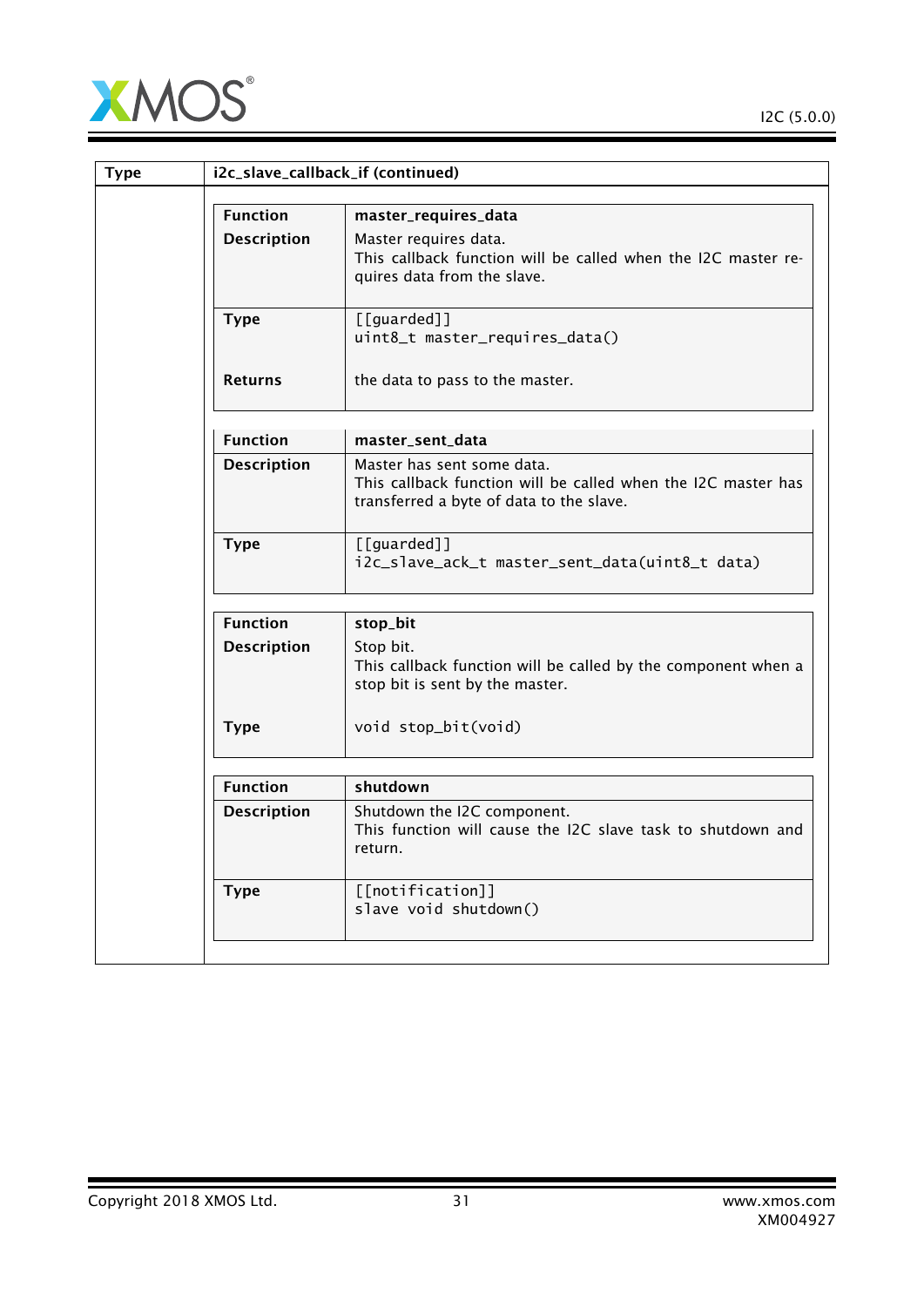

| <b>Type</b> |                    | i2c_slave_callback_if (continued)                                                                                                       |
|-------------|--------------------|-----------------------------------------------------------------------------------------------------------------------------------------|
|             | <b>Function</b>    | master_requires_data                                                                                                                    |
|             | <b>Description</b> | Master requires data.<br>This callback function will be called when the I2C master re-<br>quires data from the slave.                   |
|             | <b>Type</b>        | [[guarded]]<br>uint8_t master_requires_data()                                                                                           |
|             | <b>Returns</b>     | the data to pass to the master.                                                                                                         |
|             | <b>Function</b>    | master_sent_data                                                                                                                        |
|             | <b>Description</b> | Master has sent some data.<br>This callback function will be called when the I2C master has<br>transferred a byte of data to the slave. |
|             | <b>Type</b>        | [[guarded]]<br>i2c_slave_ack_t master_sent_data(uint8_t data)                                                                           |
|             | <b>Function</b>    | stop_bit                                                                                                                                |
|             | <b>Description</b> | Stop bit.<br>This callback function will be called by the component when a<br>stop bit is sent by the master.                           |
|             | <b>Type</b>        | void stop_bit(void)                                                                                                                     |
|             | <b>Function</b>    | shutdown                                                                                                                                |
|             | <b>Description</b> | Shutdown the I2C component.<br>This function will cause the I2C slave task to shutdown and<br>return.                                   |
|             | <b>Type</b>        | [[notification]]<br>slave void shutdown()                                                                                               |
|             |                    |                                                                                                                                         |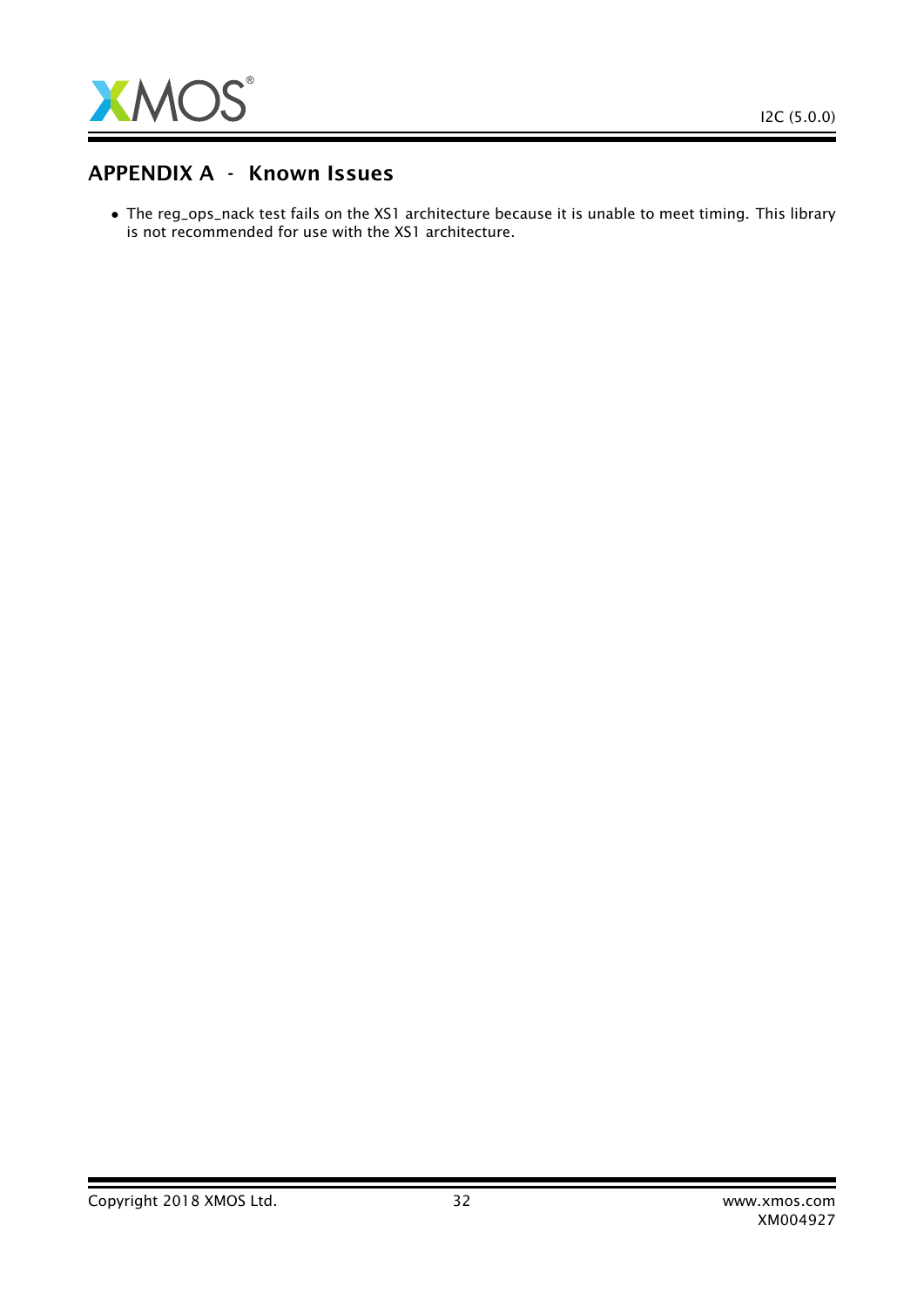

### APPENDIX A - Known Issues

• The reg\_ops\_nack test fails on the XS1 architecture because it is unable to meet timing. This library is not recommended for use with the XS1 architecture.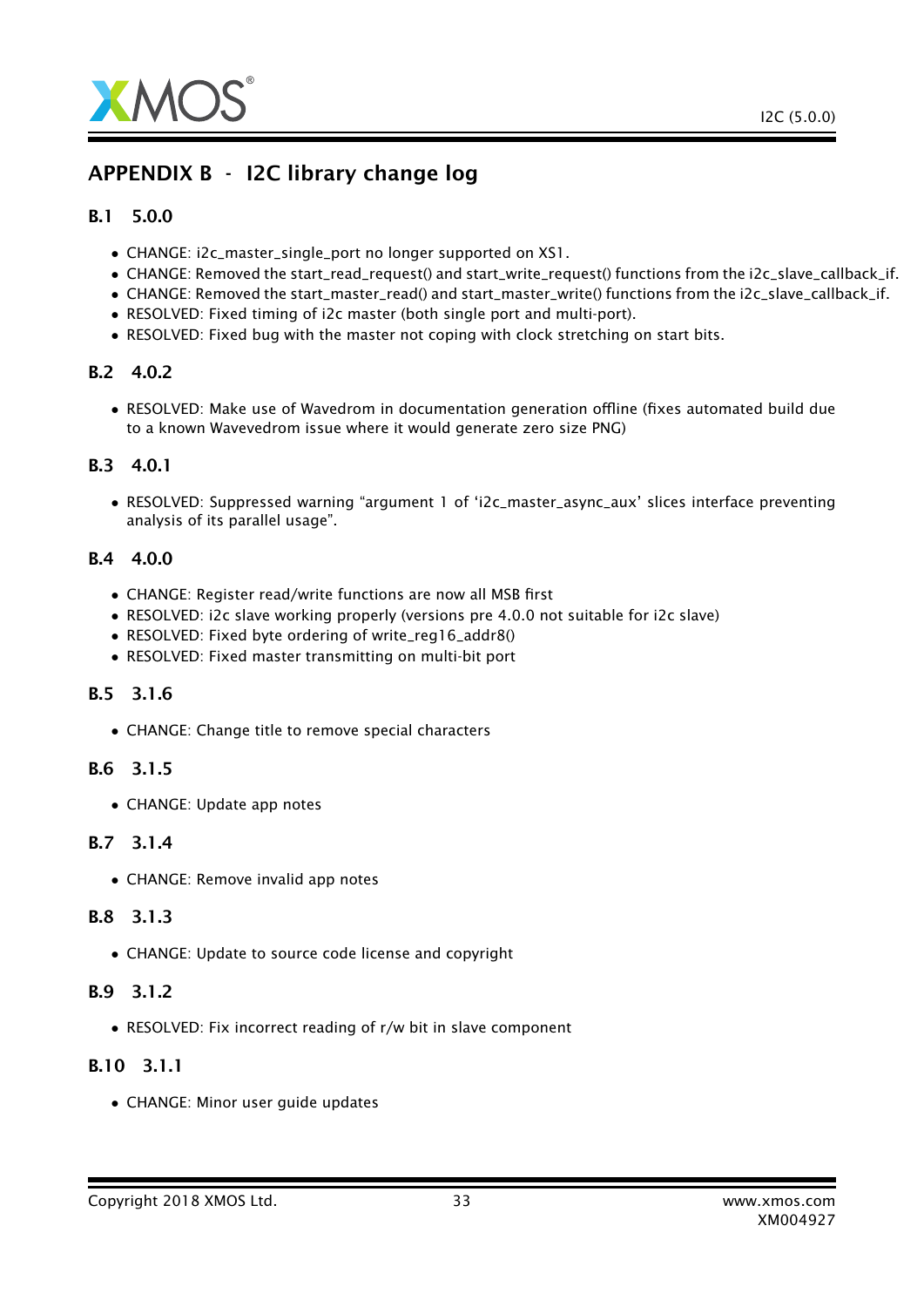

### APPENDIX B - I2C library change log

### B.1 5.0.0

- CHANGE: i2c\_master\_single\_port no longer supported on XS1.
- CHANGE: Removed the start\_read\_request() and start\_write\_request() functions from the i2c\_slave\_callback\_if.
- CHANGE: Removed the start\_master\_read() and start\_master\_write() functions from the i2c\_slave\_callback\_if.
- RESOLVED: Fixed timing of i2c master (both single port and multi-port).
- RESOLVED: Fixed bug with the master not coping with clock stretching on start bits.

### B.2 4.0.2

• RESOLVED: Make use of Wavedrom in documentation generation offline (fixes automated build due to a known Wavevedrom issue where it would generate zero size PNG)

### B.3 4.0.1

• RESOLVED: Suppressed warning "argument 1 of 'i2c\_master\_async\_aux' slices interface preventing analysis of its parallel usage".

### B.4 4.0.0

- CHANGE: Register read/write functions are now all MSB first
- RESOLVED: i2c slave working properly (versions pre 4.0.0 not suitable for i2c slave)
- RESOLVED: Fixed byte ordering of write\_reg16\_addr8()
- RESOLVED: Fixed master transmitting on multi-bit port

### B.5 3.1.6

• CHANGE: Change title to remove special characters

### B.6 3.1.5

• CHANGE: Update app notes

### B.7 3.1.4

• CHANGE: Remove invalid app notes

### B.8 3.1.3

• CHANGE: Update to source code license and copyright

### B.9 3.1.2

• RESOLVED: Fix incorrect reading of r/w bit in slave component

### B.10 3.1.1

• CHANGE: Minor user guide updates